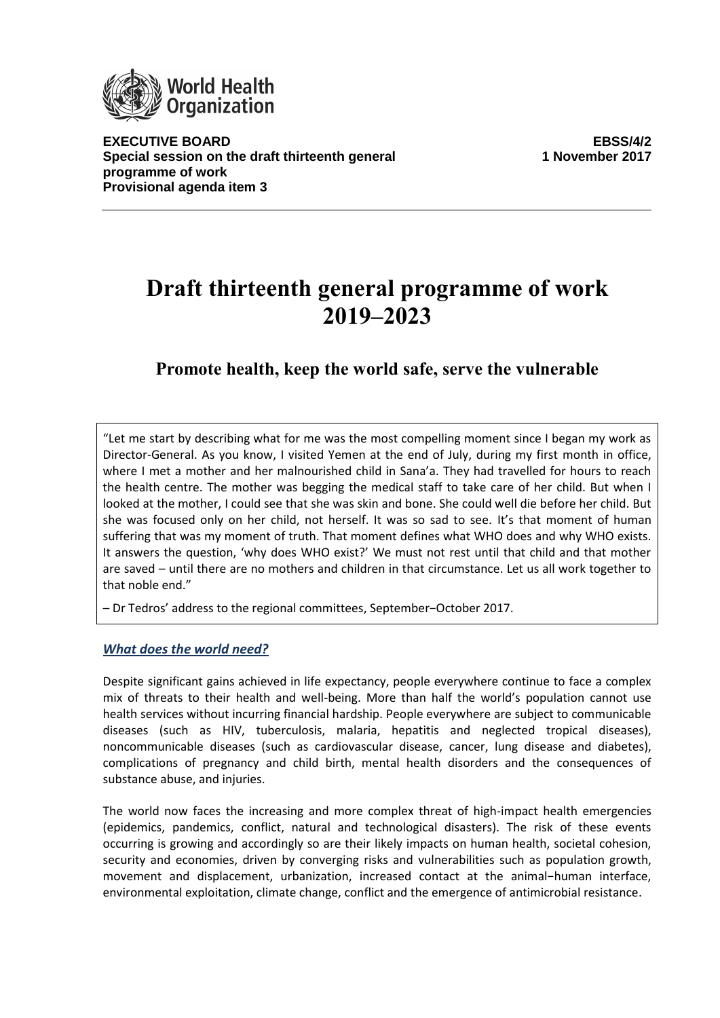

**EXECUTIVE BOARD EBSS/4/2 Special session on the draft thirteenth general programme of work Provisional agenda item 3**

**1 November 2017**

# **Draft thirteenth general programme of work 2019–2023**

# **Promote health, keep the world safe, serve the vulnerable**

"Let me start by describing what for me was the most compelling moment since I began my work as Director-General. As you know, I visited Yemen at the end of July, during my first month in office, where I met a mother and her malnourished child in Sana'a. They had travelled for hours to reach the health centre. The mother was begging the medical staff to take care of her child. But when I looked at the mother, I could see that she was skin and bone. She could well die before her child. But she was focused only on her child, not herself. It was so sad to see. It's that moment of human suffering that was my moment of truth. That moment defines what WHO does and why WHO exists. It answers the question, 'why does WHO exist?' We must not rest until that child and that mother are saved – until there are no mothers and children in that circumstance. Let us all work together to that noble end."

– Dr Tedros' address to the regional committees, September−October 2017.

# *What does the world need?*

Despite significant gains achieved in life expectancy, people everywhere continue to face a complex mix of threats to their health and well-being. More than half the world's population cannot use health services without incurring financial hardship. People everywhere are subject to communicable diseases (such as HIV, tuberculosis, malaria, hepatitis and neglected tropical diseases), noncommunicable diseases (such as cardiovascular disease, cancer, lung disease and diabetes), complications of pregnancy and child birth, mental health disorders and the consequences of substance abuse, and injuries.

The world now faces the increasing and more complex threat of high-impact health emergencies (epidemics, pandemics, conflict, natural and technological disasters). The risk of these events occurring is growing and accordingly so are their likely impacts on human health, societal cohesion, security and economies, driven by converging risks and vulnerabilities such as population growth, movement and displacement, urbanization, increased contact at the animal−human interface, environmental exploitation, climate change, conflict and the emergence of antimicrobial resistance.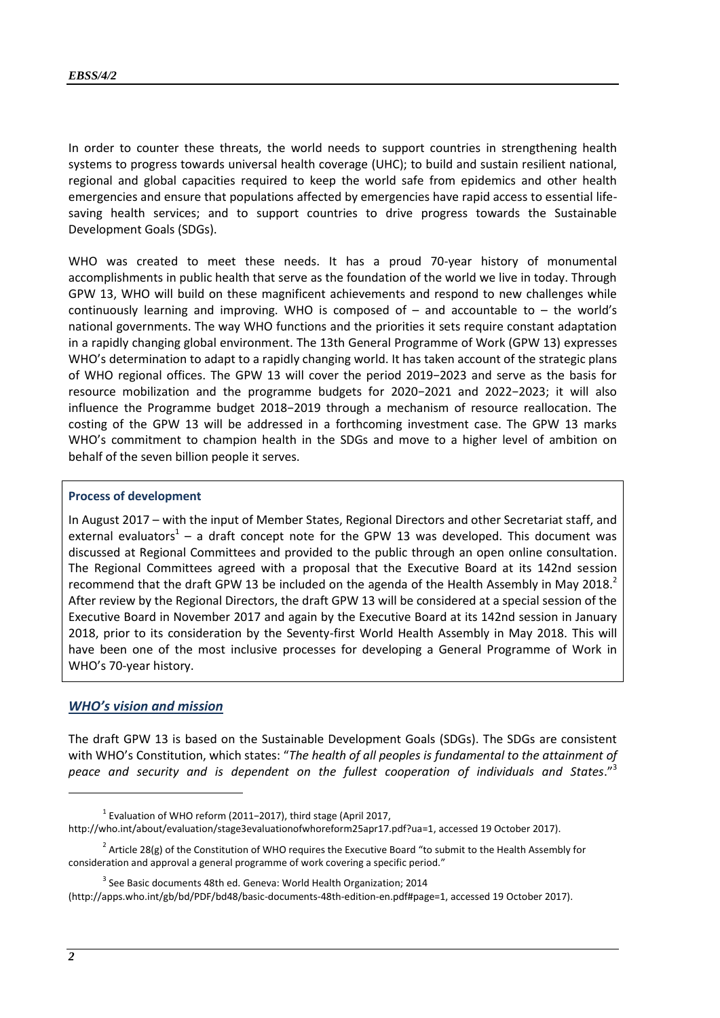In order to counter these threats, the world needs to support countries in strengthening health systems to progress towards universal health coverage (UHC); to build and sustain resilient national, regional and global capacities required to keep the world safe from epidemics and other health emergencies and ensure that populations affected by emergencies have rapid access to essential lifesaving health services; and to support countries to drive progress towards the Sustainable Development Goals (SDGs).

WHO was created to meet these needs. It has a proud 70-year history of monumental accomplishments in public health that serve as the foundation of the world we live in today. Through GPW 13, WHO will build on these magnificent achievements and respond to new challenges while continuously learning and improving. WHO is composed of  $-$  and accountable to  $-$  the world's national governments. The way WHO functions and the priorities it sets require constant adaptation in a rapidly changing global environment. The 13th General Programme of Work (GPW 13) expresses WHO's determination to adapt to a rapidly changing world. It has taken account of the strategic plans of WHO regional offices. The GPW 13 will cover the period 2019−2023 and serve as the basis for resource mobilization and the programme budgets for 2020−2021 and 2022−2023; it will also influence the Programme budget 2018−2019 through a mechanism of resource reallocation. The costing of the GPW 13 will be addressed in a forthcoming investment case. The GPW 13 marks WHO's commitment to champion health in the SDGs and move to a higher level of ambition on behalf of the seven billion people it serves.

#### **Process of development**

In August 2017 – with the input of Member States, Regional Directors and other Secretariat staff, and external evaluators<sup>1</sup> – a draft concept note for the GPW 13 was developed. This document was discussed at Regional Committees and provided to the public through an open online consultation. The Regional Committees agreed with a proposal that the Executive Board at its 142nd session recommend that the draft GPW 13 be included on the agenda of the Health Assembly in May 2018.<sup>2</sup> After review by the Regional Directors, the draft GPW 13 will be considered at a special session of the Executive Board in November 2017 and again by the Executive Board at its 142nd session in January 2018, prior to its consideration by the Seventy-first World Health Assembly in May 2018. This will have been one of the most inclusive processes for developing a General Programme of Work in WHO's 70-year history.

#### *WHO's vision and mission*

The draft GPW 13 is based on the Sustainable Development Goals (SDGs). The SDGs are consistent with WHO's Constitution, which states: "*The health of all peoples is fundamental to the attainment of peace and security and is dependent on the fullest cooperation of individuals and States*."<sup>3</sup>

<sup>1</sup> Evaluation of WHO reform (2011−2017), third stage (April 2017, [http://who.int/about/evaluation/stage3evaluationofwhoreform25apr17.pdf?ua=1,](http://who.int/about/evaluation/stage3evaluationofwhoreform25apr17.pdf?ua=1) accessed 19 October 2017).

<sup>&</sup>lt;sup>2</sup> Article 28(g) of the Constitution of WHO requires the Executive Board "to submit to the Health Assembly for consideration and approval a general programme of work covering a specific period."

 $3$  See Basic documents 48th ed. Geneva: World Health Organization; 2014

[<sup>\(</sup>http://apps.who.int/gb/bd/PDF/bd48/basic-documents-48th-edition-en.pdf#page=1,](http://apps.who.int/gb/bd/PDF/bd48/basic-documents-48th-edition-en.pdf%23page=1) accessed 19 October 2017).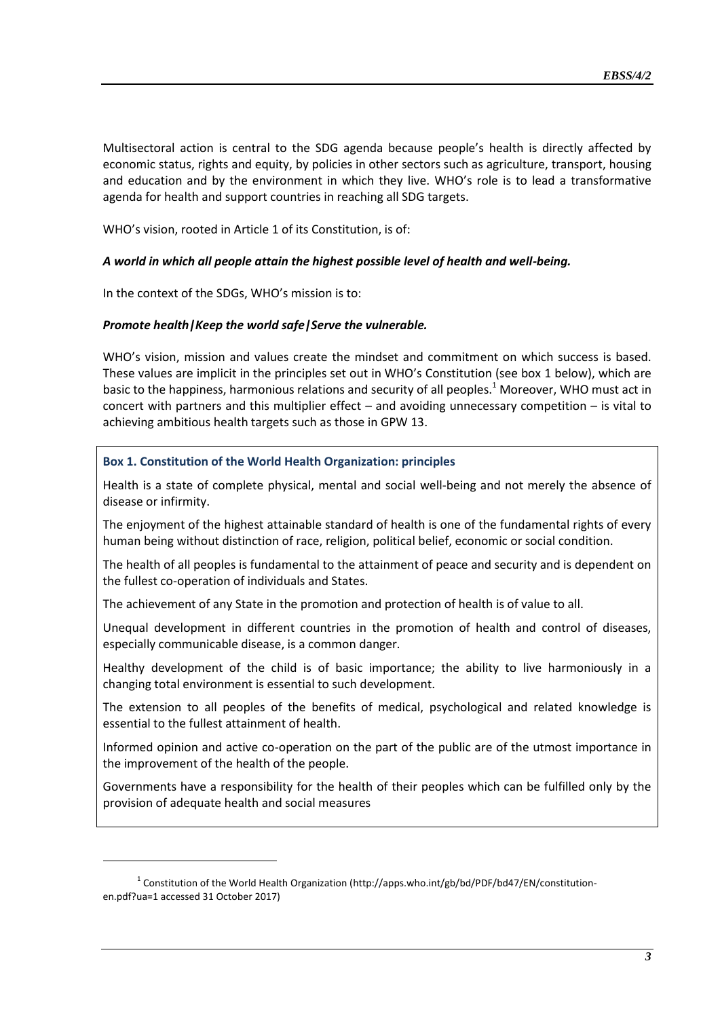Multisectoral action is central to the SDG agenda because people's health is directly affected by economic status, rights and equity, by policies in other sectors such as agriculture, transport, housing and education and by the environment in which they live. WHO's role is to lead a transformative agenda for health and support countries in reaching all SDG targets.

WHO's vision, rooted in Article 1 of its Constitution, is of:

#### *A world in which all people attain the highest possible level of health and well-being.*

In the context of the SDGs, WHO's mission is to:

-

# *Promote health|Keep the world safe|Serve the vulnerable.*

WHO's vision, mission and values create the mindset and commitment on which success is based. These values are implicit in the principles set out in WHO's Constitution (see box 1 below), which are basic to the happiness, harmonious relations and security of all peoples.<sup>1</sup> Moreover, WHO must act in concert with partners and this multiplier effect – and avoiding unnecessary competition – is vital to achieving ambitious health targets such as those in GPW 13.

# **Box 1. Constitution of the World Health Organization: principles**

Health is a state of complete physical, mental and social well-being and not merely the absence of disease or infirmity.

The enjoyment of the highest attainable standard of health is one of the fundamental rights of every human being without distinction of race, religion, political belief, economic or social condition.

The health of all peoples is fundamental to the attainment of peace and security and is dependent on the fullest co-operation of individuals and States.

The achievement of any State in the promotion and protection of health is of value to all.

Unequal development in different countries in the promotion of health and control of diseases, especially communicable disease, is a common danger.

Healthy development of the child is of basic importance; the ability to live harmoniously in a changing total environment is essential to such development.

The extension to all peoples of the benefits of medical, psychological and related knowledge is essential to the fullest attainment of health.

Informed opinion and active co-operation on the part of the public are of the utmost importance in the improvement of the health of the people.

Governments have a responsibility for the health of their peoples which can be fulfilled only by the provision of adequate health and social measures

<sup>&</sup>lt;sup>1</sup> Constitution of the World Health Organization [\(http://apps.who.int/gb/bd/PDF/bd47/EN/constitution](http://apps.who.int/gb/bd/PDF/bd47/EN/constitution-en.pdf?ua=1)[en.pdf?ua=1](http://apps.who.int/gb/bd/PDF/bd47/EN/constitution-en.pdf?ua=1) accessed 31 October 2017)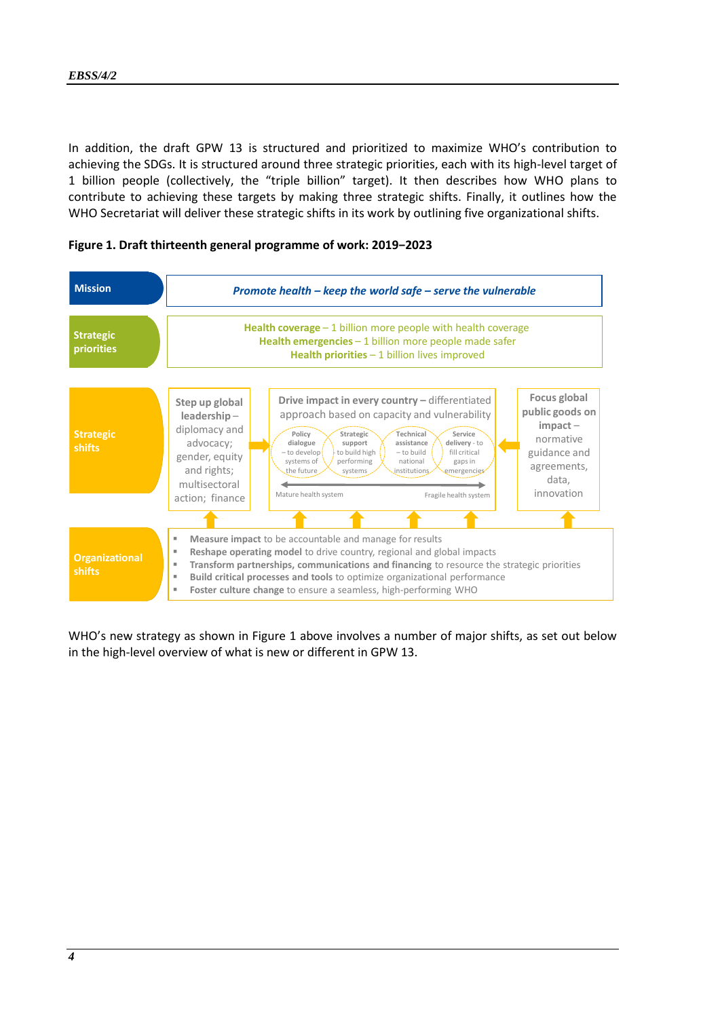In addition, the draft GPW 13 is structured and prioritized to maximize WHO's contribution to achieving the SDGs. It is structured around three strategic priorities, each with its high-level target of 1 billion people (collectively, the "triple billion" target). It then describes how WHO plans to contribute to achieving these targets by making three strategic shifts. Finally, it outlines how the WHO Secretariat will deliver these strategic shifts in its work by outlining five organizational shifts.





WHO's new strategy as shown in Figure 1 above involves a number of major shifts, as set out below in the high-level overview of what is new or different in GPW 13.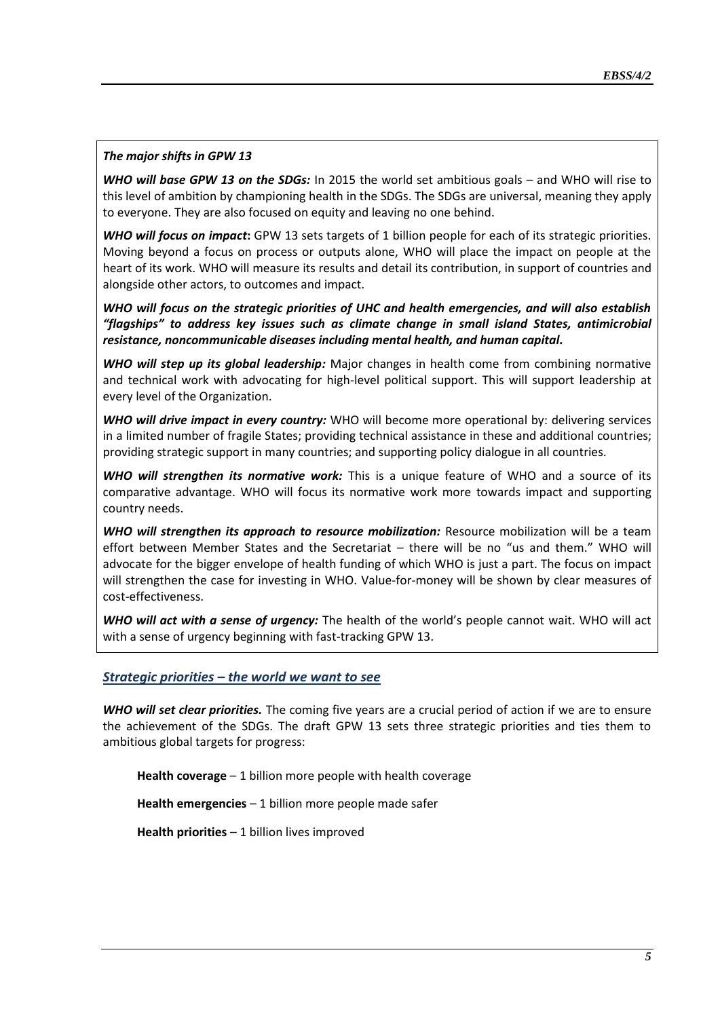# *The major shifts in GPW 13*

*WHO will base GPW 13 on the SDGs:* In 2015 the world set ambitious goals – and WHO will rise to this level of ambition by championing health in the SDGs. The SDGs are universal, meaning they apply to everyone. They are also focused on equity and leaving no one behind.

*WHO will focus on impact***:** GPW 13 sets targets of 1 billion people for each of its strategic priorities. Moving beyond a focus on process or outputs alone, WHO will place the impact on people at the heart of its work. WHO will measure its results and detail its contribution, in support of countries and alongside other actors, to outcomes and impact.

*WHO will focus on the strategic priorities of UHC and health emergencies, and will also establish "flagships" to address key issues such as climate change in small island States, antimicrobial resistance, noncommunicable diseases including mental health, and human capital.*

*WHO will step up its global leadership:* Major changes in health come from combining normative and technical work with advocating for high-level political support. This will support leadership at every level of the Organization.

*WHO will drive impact in every country:* WHO will become more operational by: delivering services in a limited number of fragile States; providing technical assistance in these and additional countries; providing strategic support in many countries; and supporting policy dialogue in all countries.

*WHO will strengthen its normative work:* This is a unique feature of WHO and a source of its comparative advantage. WHO will focus its normative work more towards impact and supporting country needs.

**WHO will strengthen its approach to resource mobilization:** Resource mobilization will be a team effort between Member States and the Secretariat – there will be no "us and them." WHO will advocate for the bigger envelope of health funding of which WHO is just a part. The focus on impact will strengthen the case for investing in WHO. Value-for-money will be shown by clear measures of cost-effectiveness.

*WHO will act with a sense of urgency:* The health of the world's people cannot wait. WHO will act with a sense of urgency beginning with fast-tracking GPW 13.

# *Strategic priorities – the world we want to see*

*WHO will set clear priorities.* The coming five years are a crucial period of action if we are to ensure the achievement of the SDGs. The draft GPW 13 sets three strategic priorities and ties them to ambitious global targets for progress:

**Health coverage** – 1 billion more people with health coverage

**Health emergencies** – 1 billion more people made safer

**Health priorities** – 1 billion lives improved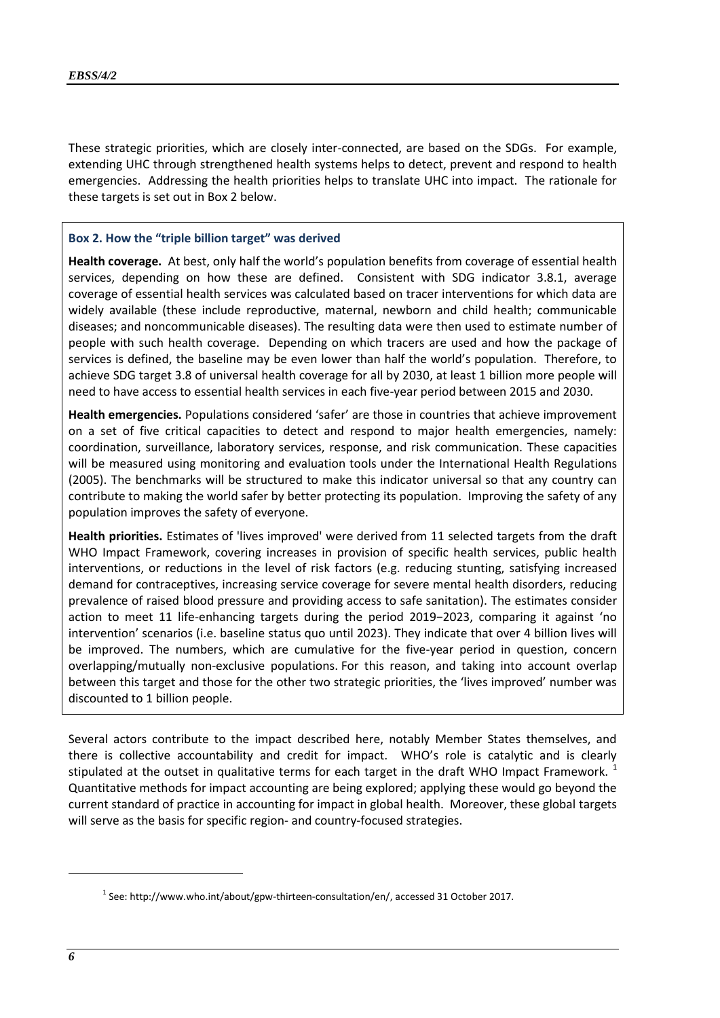These strategic priorities, which are closely inter-connected, are based on the SDGs. For example, extending UHC through strengthened health systems helps to detect, prevent and respond to health emergencies. Addressing the health priorities helps to translate UHC into impact. The rationale for these targets is set out in Box 2 below.

#### **Box 2. How the "triple billion target" was derived**

**Health coverage.** At best, only half the world's population benefits from coverage of essential health services, depending on how these are defined. Consistent with SDG indicator 3.8.1, average coverage of essential health services was calculated based on tracer interventions for which data are widely available (these include reproductive, maternal, newborn and child health; communicable diseases; and noncommunicable diseases). The resulting data were then used to estimate number of people with such health coverage. Depending on which tracers are used and how the package of services is defined, the baseline may be even lower than half the world's population. Therefore, to achieve SDG target 3.8 of universal health coverage for all by 2030, at least 1 billion more people will need to have access to essential health services in each five-year period between 2015 and 2030.

**Health emergencies.** Populations considered 'safer' are those in countries that achieve improvement on a set of five critical capacities to detect and respond to major health emergencies, namely: coordination, surveillance, laboratory services, response, and risk communication. These capacities will be measured using monitoring and evaluation tools under the International Health Regulations (2005). The benchmarks will be structured to make this indicator universal so that any country can contribute to making the world safer by better protecting its population. Improving the safety of any population improves the safety of everyone.

**Health priorities.** Estimates of 'lives improved' were derived from 11 selected targets from the draft WHO Impact Framework, covering increases in provision of specific health services, public health interventions, or reductions in the level of risk factors (e.g. reducing stunting, satisfying increased demand for contraceptives, increasing service coverage for severe mental health disorders, reducing prevalence of raised blood pressure and providing access to safe sanitation). The estimates consider action to meet 11 life-enhancing targets during the period 2019−2023, comparing it against 'no intervention' scenarios (i.e. baseline status quo until 2023). They indicate that over 4 billion lives will be improved. The numbers, which are cumulative for the five-year period in question, concern overlapping/mutually non-exclusive populations. For this reason, and taking into account overlap between this target and those for the other two strategic priorities, the 'lives improved' number was discounted to 1 billion people.

Several actors contribute to the impact described here, notably Member States themselves, and there is collective accountability and credit for impact. WHO's role is catalytic and is clearly stipulated at the outset in qualitative terms for each target in the draft WHO Impact Framework.<sup>1</sup> Quantitative methods for impact accounting are being explored; applying these would go beyond the current standard of practice in accounting for impact in global health. Moreover, these global targets will serve as the basis for specific region- and country-focused strategies.

 $^1$  See[: http://www.who.int/about/gpw-thirteen-consultation/en/,](http://www.who.int/about/gpw-thirteen-consultation/en/) accessed 31 October 2017.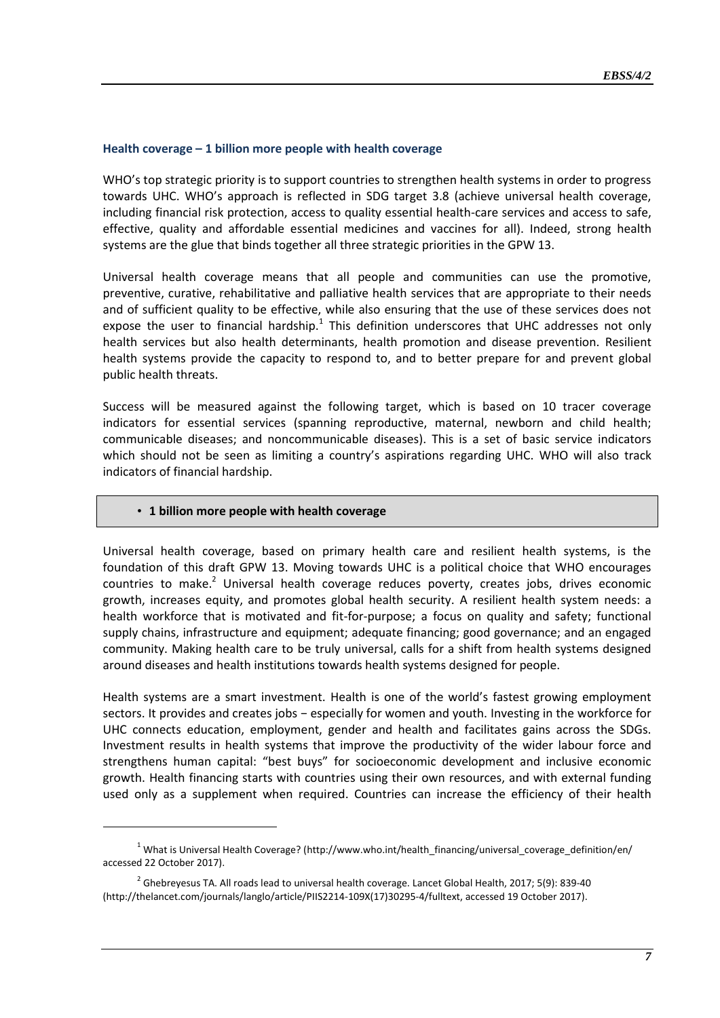#### **Health coverage – 1 billion more people with health coverage**

WHO's top strategic priority is to support countries to strengthen health systems in order to progress towards UHC. WHO's approach is reflected in SDG target 3.8 (achieve universal health coverage, including financial risk protection, access to quality essential health-care services and access to safe, effective, quality and affordable essential medicines and vaccines for all). Indeed, strong health systems are the glue that binds together all three strategic priorities in the GPW 13.

Universal health coverage means that all people and communities can use the promotive, preventive, curative, rehabilitative and palliative health services that are appropriate to their needs and of sufficient quality to be effective, while also ensuring that the use of these services does not expose the user to financial hardship. $1$  This definition underscores that UHC addresses not only health services but also health determinants, health promotion and disease prevention. Resilient health systems provide the capacity to respond to, and to better prepare for and prevent global public health threats.

Success will be measured against the following target, which is based on 10 tracer coverage indicators for essential services (spanning reproductive, maternal, newborn and child health; communicable diseases; and noncommunicable diseases). This is a set of basic service indicators which should not be seen as limiting a country's aspirations regarding UHC. WHO will also track indicators of financial hardship.

#### • **1 billion more people with health coverage**

1

Universal health coverage, based on primary health care and resilient health systems, is the foundation of this draft GPW 13. Moving towards UHC is a political choice that WHO encourages countries to make.<sup>2</sup> Universal health coverage reduces poverty, creates jobs, drives economic growth, increases equity, and promotes global health security. A resilient health system needs: a health workforce that is motivated and fit-for-purpose; a focus on quality and safety; functional supply chains, infrastructure and equipment; adequate financing; good governance; and an engaged community. Making health care to be truly universal, calls for a shift from health systems designed around diseases and health institutions towards health systems designed for people.

Health systems are a smart investment. Health is one of the world's fastest growing employment sectors. It provides and creates jobs – especially for women and youth. Investing in the workforce for UHC connects education, employment, gender and health and facilitates gains across the SDGs. Investment results in health systems that improve the productivity of the wider labour force and strengthens human capital: "best buys" for socioeconomic development and inclusive economic growth. Health financing starts with countries using their own resources, and with external funding used only as a supplement when required. Countries can increase the efficiency of their health

<sup>&</sup>lt;sup>1</sup> What is Universal Health Coverage? [\(http://www.who.int/health\\_financing/universal\\_coverage\\_definition/en/](http://www.who.int/health_financing/universal_coverage_definition/en/) accessed 22 October 2017).

 $^2$  Ghebreyesus TA. All roads lead to universal health coverage. Lancet Global Health, 2017; 5(9): 839-40 [\(http://thelancet.com/journals/langlo/article/PIIS2214-109X\(17\)30295-4/fulltext,](http://thelancet.com/journals/langlo/article/PIIS2214-109X(17)30295-4/fulltext) accessed 19 October 2017).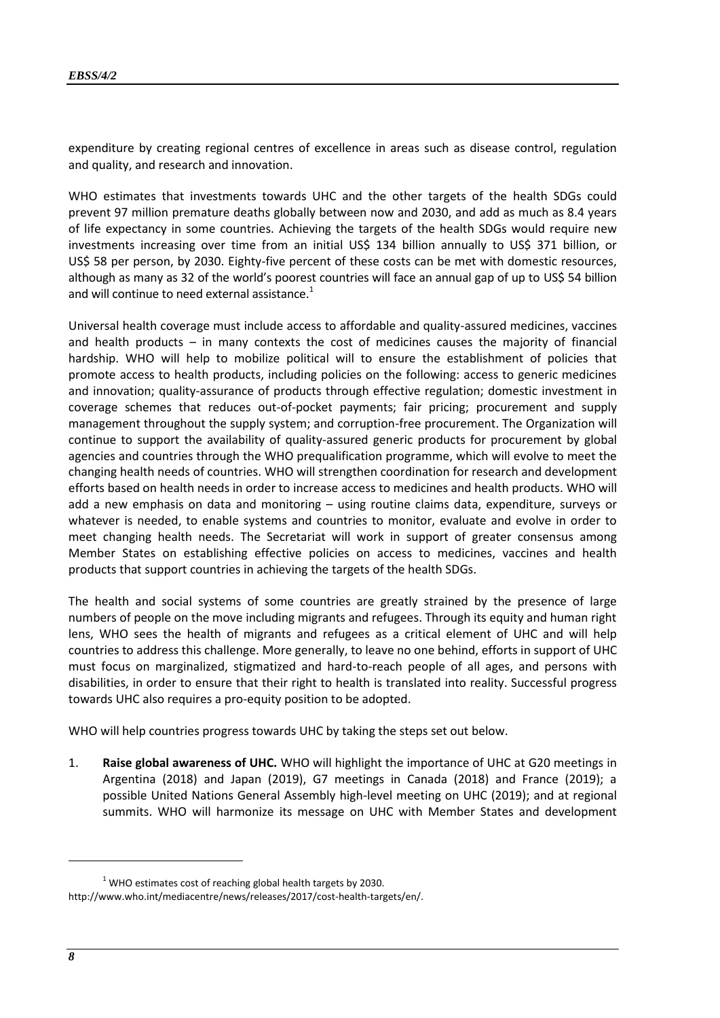expenditure by creating regional centres of excellence in areas such as disease control, regulation and quality, and research and innovation.

WHO estimates that investments towards UHC and the other targets of the health SDGs could prevent 97 million premature deaths globally between now and 2030, and add as much as 8.4 years of life expectancy in some countries. Achieving the targets of the health SDGs would require new investments increasing over time from an initial US\$ 134 billion annually to US\$ 371 billion, or US\$ 58 per person, by 2030. Eighty-five percent of these costs can be met with domestic resources, although as many as 32 of the world's poorest countries will face an annual gap of up to US\$ 54 billion and will continue to need external assistance. $1$ 

Universal health coverage must include access to affordable and quality-assured medicines, vaccines and health products  $-$  in many contexts the cost of medicines causes the majority of financial hardship. WHO will help to mobilize political will to ensure the establishment of policies that promote access to health products, including policies on the following: access to generic medicines and innovation; quality-assurance of products through effective regulation; domestic investment in coverage schemes that reduces out-of-pocket payments; fair pricing; procurement and supply management throughout the supply system; and corruption-free procurement. The Organization will continue to support the availability of quality-assured generic products for procurement by global agencies and countries through the WHO prequalification programme, which will evolve to meet the changing health needs of countries. WHO will strengthen coordination for research and development efforts based on health needs in order to increase access to medicines and health products. WHO will add a new emphasis on data and monitoring – using routine claims data, expenditure, surveys or whatever is needed, to enable systems and countries to monitor, evaluate and evolve in order to meet changing health needs. The Secretariat will work in support of greater consensus among Member States on establishing effective policies on access to medicines, vaccines and health products that support countries in achieving the targets of the health SDGs.

The health and social systems of some countries are greatly strained by the presence of large numbers of people on the move including migrants and refugees. Through its equity and human right lens, WHO sees the health of migrants and refugees as a critical element of UHC and will help countries to address this challenge. More generally, to leave no one behind, efforts in support of UHC must focus on marginalized, stigmatized and hard-to-reach people of all ages, and persons with disabilities, in order to ensure that their right to health is translated into reality. Successful progress towards UHC also requires a pro-equity position to be adopted.

WHO will help countries progress towards UHC by taking the steps set out below.

1. **Raise global awareness of UHC.** WHO will highlight the importance of UHC at G20 meetings in Argentina (2018) and Japan (2019), G7 meetings in Canada (2018) and France (2019); a possible United Nations General Assembly high-level meeting on UHC (2019); and at regional summits. WHO will harmonize its message on UHC with Member States and development

 $1$  WHO estimates cost of reaching global health targets by 2030. [http://www.who.int/mediacentre/news/releases/2017/cost-health-targets/en/.](http://www.who.int/mediacentre/news/releases/2017/cost-health-targets/en/)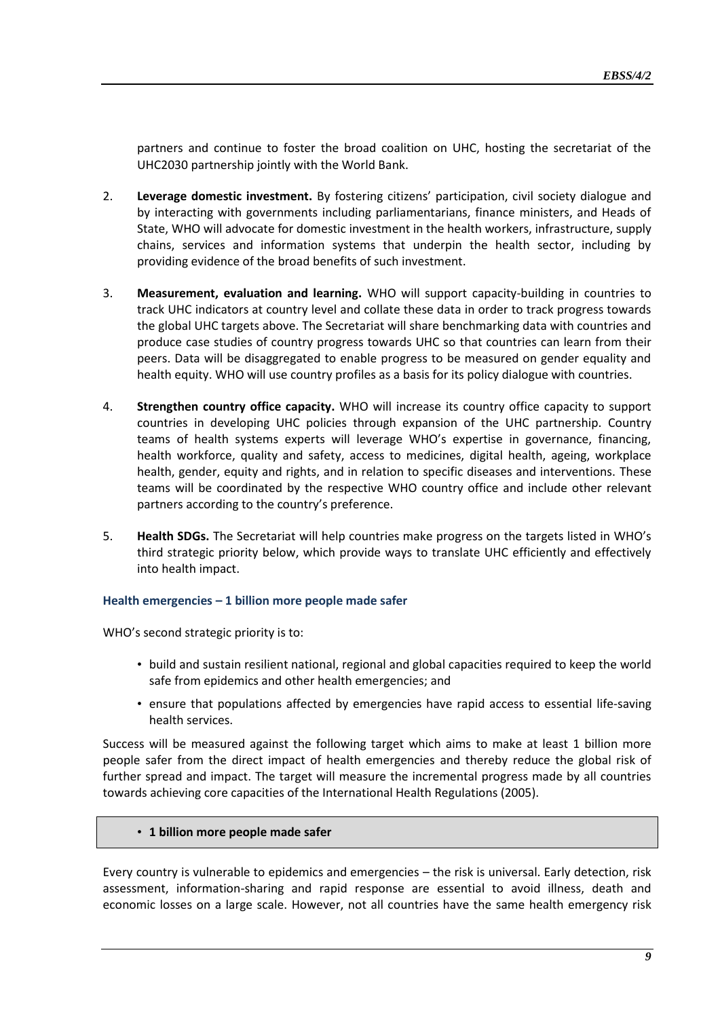partners and continue to foster the broad coalition on UHC, hosting the secretariat of the UHC2030 partnership jointly with the World Bank.

- 2. **Leverage domestic investment.** By fostering citizens' participation, civil society dialogue and by interacting with governments including parliamentarians, finance ministers, and Heads of State, WHO will advocate for domestic investment in the health workers, infrastructure, supply chains, services and information systems that underpin the health sector, including by providing evidence of the broad benefits of such investment.
- 3. **Measurement, evaluation and learning.** WHO will support capacity-building in countries to track UHC indicators at country level and collate these data in order to track progress towards the global UHC targets above. The Secretariat will share benchmarking data with countries and produce case studies of country progress towards UHC so that countries can learn from their peers. Data will be disaggregated to enable progress to be measured on gender equality and health equity. WHO will use country profiles as a basis for its policy dialogue with countries.
- 4. **Strengthen country office capacity.** WHO will increase its country office capacity to support countries in developing UHC policies through expansion of the UHC partnership. Country teams of health systems experts will leverage WHO's expertise in governance, financing, health workforce, quality and safety, access to medicines, digital health, ageing, workplace health, gender, equity and rights, and in relation to specific diseases and interventions. These teams will be coordinated by the respective WHO country office and include other relevant partners according to the country's preference.
- 5. **Health SDGs.** The Secretariat will help countries make progress on the targets listed in WHO's third strategic priority below, which provide ways to translate UHC efficiently and effectively into health impact.

#### **Health emergencies – 1 billion more people made safer**

WHO's second strategic priority is to:

- build and sustain resilient national, regional and global capacities required to keep the world safe from epidemics and other health emergencies; and
- ensure that populations affected by emergencies have rapid access to essential life-saving health services.

Success will be measured against the following target which aims to make at least 1 billion more people safer from the direct impact of health emergencies and thereby reduce the global risk of further spread and impact. The target will measure the incremental progress made by all countries towards achieving core capacities of the International Health Regulations (2005).

#### • **1 billion more people made safer**

Every country is vulnerable to epidemics and emergencies – the risk is universal. Early detection, risk assessment, information-sharing and rapid response are essential to avoid illness, death and economic losses on a large scale. However, not all countries have the same health emergency risk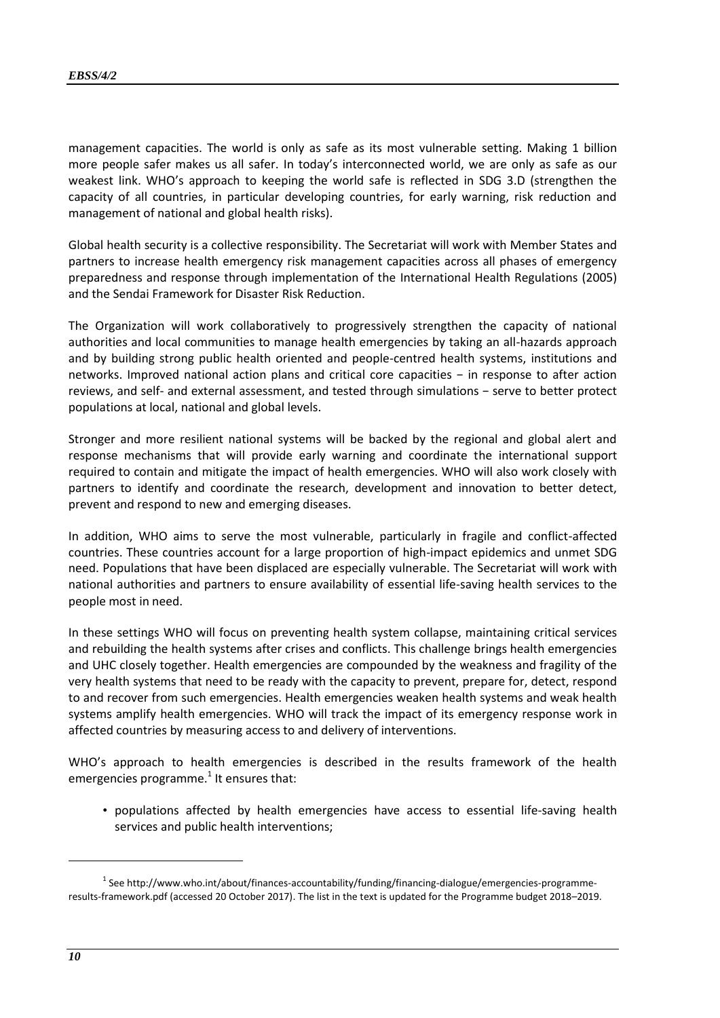management capacities. The world is only as safe as its most vulnerable setting. Making 1 billion more people safer makes us all safer. In today's interconnected world, we are only as safe as our weakest link. WHO's approach to keeping the world safe is reflected in SDG 3.D (strengthen the capacity of all countries, in particular developing countries, for early warning, risk reduction and management of national and global health risks).

Global health security is a collective responsibility. The Secretariat will work with Member States and partners to increase health emergency risk management capacities across all phases of emergency preparedness and response through implementation of the International Health Regulations (2005) and the Sendai Framework for Disaster Risk Reduction.

The Organization will work collaboratively to progressively strengthen the capacity of national authorities and local communities to manage health emergencies by taking an all-hazards approach and by building strong public health oriented and people-centred health systems, institutions and networks. Improved national action plans and critical core capacities − in response to after action reviews, and self- and external assessment, and tested through simulations − serve to better protect populations at local, national and global levels.

Stronger and more resilient national systems will be backed by the regional and global alert and response mechanisms that will provide early warning and coordinate the international support required to contain and mitigate the impact of health emergencies. WHO will also work closely with partners to identify and coordinate the research, development and innovation to better detect, prevent and respond to new and emerging diseases.

In addition, WHO aims to serve the most vulnerable, particularly in fragile and conflict-affected countries. These countries account for a large proportion of high-impact epidemics and unmet SDG need. Populations that have been displaced are especially vulnerable. The Secretariat will work with national authorities and partners to ensure availability of essential life-saving health services to the people most in need.

In these settings WHO will focus on preventing health system collapse, maintaining critical services and rebuilding the health systems after crises and conflicts. This challenge brings health emergencies and UHC closely together. Health emergencies are compounded by the weakness and fragility of the very health systems that need to be ready with the capacity to prevent, prepare for, detect, respond to and recover from such emergencies. Health emergencies weaken health systems and weak health systems amplify health emergencies. WHO will track the impact of its emergency response work in affected countries by measuring access to and delivery of interventions.

WHO's approach to health emergencies is described in the results framework of the health emergencies programme.<sup>1</sup> It ensures that:

• populations affected by health emergencies have access to essential life-saving health services and public health interventions;

<sup>&</sup>lt;sup>1</sup> Se[e http://www.who.int/about/finances-accountability/funding/financing-dialogue/emergencies-programme](http://www.who.int/about/finances-accountability/funding/financing-dialogue/emergencies-programme-results-framework.pdf)[results-framework.pdf](http://www.who.int/about/finances-accountability/funding/financing-dialogue/emergencies-programme-results-framework.pdf) (accessed 20 October 2017). The list in the text is updated for the Programme budget 2018–2019.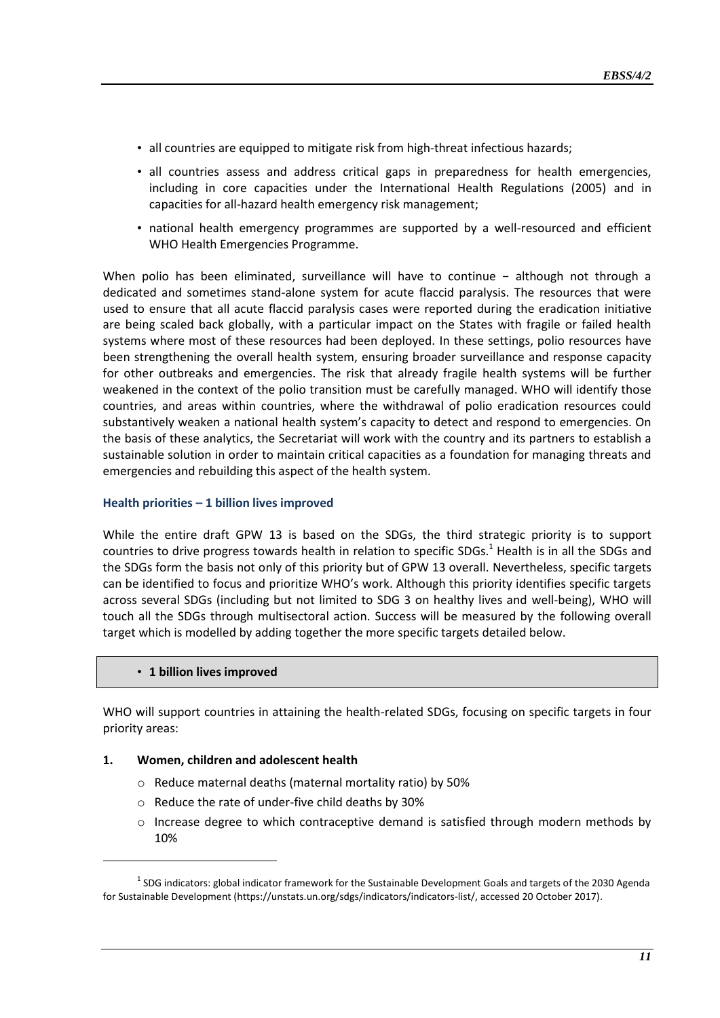- all countries are equipped to mitigate risk from high-threat infectious hazards;
- all countries assess and address critical gaps in preparedness for health emergencies, including in core capacities under the International Health Regulations (2005) and in capacities for all-hazard health emergency risk management;
- national health emergency programmes are supported by a well-resourced and efficient WHO Health Emergencies Programme.

When polio has been eliminated, surveillance will have to continue - although not through a dedicated and sometimes stand-alone system for acute flaccid paralysis. The resources that were used to ensure that all acute flaccid paralysis cases were reported during the eradication initiative are being scaled back globally, with a particular impact on the States with fragile or failed health systems where most of these resources had been deployed. In these settings, polio resources have been strengthening the overall health system, ensuring broader surveillance and response capacity for other outbreaks and emergencies. The risk that already fragile health systems will be further weakened in the context of the polio transition must be carefully managed. WHO will identify those countries, and areas within countries, where the withdrawal of polio eradication resources could substantively weaken a national health system's capacity to detect and respond to emergencies. On the basis of these analytics, the Secretariat will work with the country and its partners to establish a sustainable solution in order to maintain critical capacities as a foundation for managing threats and emergencies and rebuilding this aspect of the health system.

#### **Health priorities – 1 billion lives improved**

While the entire draft GPW 13 is based on the SDGs, the third strategic priority is to support countries to drive progress towards health in relation to specific SDGs.<sup>1</sup> Health is in all the SDGs and the SDGs form the basis not only of this priority but of GPW 13 overall. Nevertheless, specific targets can be identified to focus and prioritize WHO's work. Although this priority identifies specific targets across several SDGs (including but not limited to SDG 3 on healthy lives and well-being), WHO will touch all the SDGs through multisectoral action. Success will be measured by the following overall target which is modelled by adding together the more specific targets detailed below.

#### • **1 billion lives improved**

-

WHO will support countries in attaining the health-related SDGs, focusing on specific targets in four priority areas:

#### **1. Women, children and adolescent health**

- o Reduce maternal deaths (maternal mortality ratio) by 50%
- o Reduce the rate of under-five child deaths by 30%
- $\circ$  Increase degree to which contraceptive demand is satisfied through modern methods by 10%

 $^1$  SDG indicators: global indicator framework for the Sustainable Development Goals and targets of the 2030 Agenda for Sustainable Development [\(https://unstats.un.org/sdgs/indicators/indicators-list/,](https://unstats.un.org/sdgs/indicators/indicators-list/) accessed 20 October 2017).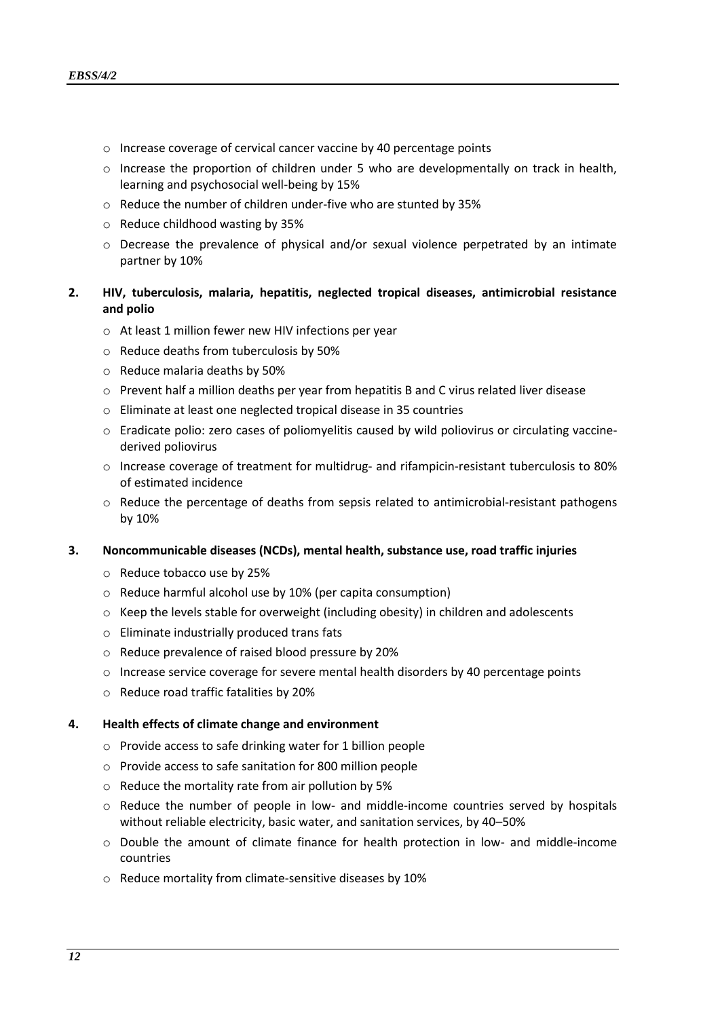- o Increase coverage of cervical cancer vaccine by 40 percentage points
- $\circ$  Increase the proportion of children under 5 who are developmentally on track in health, learning and psychosocial well-being by 15%
- o Reduce the number of children under-five who are stunted by 35%
- o Reduce childhood wasting by 35%
- $\circ$  Decrease the prevalence of physical and/or sexual violence perpetrated by an intimate partner by 10%

# **2. HIV, tuberculosis, malaria, hepatitis, neglected tropical diseases, antimicrobial resistance and polio**

- o At least 1 million fewer new HIV infections per year
- o Reduce deaths from tuberculosis by 50%
- o Reduce malaria deaths by 50%
- o Prevent half a million deaths per year from hepatitis B and C virus related liver disease
- o Eliminate at least one neglected tropical disease in 35 countries
- o Eradicate polio: zero cases of poliomyelitis caused by wild poliovirus or circulating vaccinederived poliovirus
- o Increase coverage of treatment for multidrug- and rifampicin-resistant tuberculosis to 80% of estimated incidence
- o Reduce the percentage of deaths from sepsis related to antimicrobial-resistant pathogens by 10%

#### **3. Noncommunicable diseases (NCDs), mental health, substance use, road traffic injuries**

- o Reduce tobacco use by 25%
- o Reduce harmful alcohol use by 10% (per capita consumption)
- $\circ$  Keep the levels stable for overweight (including obesity) in children and adolescents
- o Eliminate industrially produced trans fats
- o Reduce prevalence of raised blood pressure by 20%
- $\circ$  Increase service coverage for severe mental health disorders by 40 percentage points
- o Reduce road traffic fatalities by 20%

#### **4. Health effects of climate change and environment**

- o Provide access to safe drinking water for 1 billion people
- o Provide access to safe sanitation for 800 million people
- o Reduce the mortality rate from air pollution by 5%
- $\circ$  Reduce the number of people in low- and middle-income countries served by hospitals without reliable electricity, basic water, and sanitation services, by 40–50%
- o Double the amount of climate finance for health protection in low- and middle-income countries
- o Reduce mortality from climate-sensitive diseases by 10%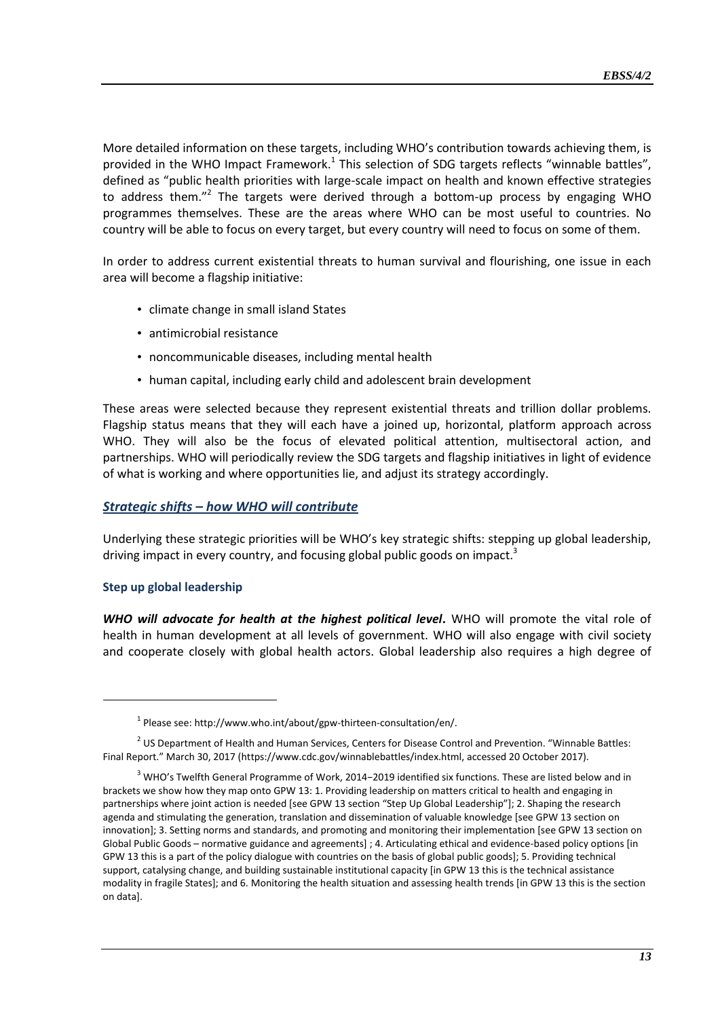More detailed information on these targets, including WHO's contribution towards achieving them, is provided in the WHO Impact Framework.<sup>1</sup> This selection of SDG targets reflects "winnable battles", defined as "public health priorities with large-scale impact on health and known effective strategies to address them."<sup>2</sup> The targets were derived through a bottom-up process by engaging WHO programmes themselves. These are the areas where WHO can be most useful to countries. No country will be able to focus on every target, but every country will need to focus on some of them.

In order to address current existential threats to human survival and flourishing, one issue in each area will become a flagship initiative:

- climate change in small island States
- antimicrobial resistance
- noncommunicable diseases, including mental health
- human capital, including early child and adolescent brain development

These areas were selected because they represent existential threats and trillion dollar problems. Flagship status means that they will each have a joined up, horizontal, platform approach across WHO. They will also be the focus of elevated political attention, multisectoral action, and partnerships. WHO will periodically review the SDG targets and flagship initiatives in light of evidence of what is working and where opportunities lie, and adjust its strategy accordingly.

# *Strategic shifts – how WHO will contribute*

Underlying these strategic priorities will be WHO's key strategic shifts: stepping up global leadership, driving impact in every country, and focusing global public goods on impact.<sup>3</sup>

# **Step up global leadership**

-

*WHO will advocate for health at the highest political level***.** WHO will promote the vital role of health in human development at all levels of government. WHO will also engage with civil society and cooperate closely with global health actors. Global leadership also requires a high degree of

<sup>&</sup>lt;sup>1</sup> Please see: [http://www.who.int/about/gpw-thirteen-consultation/en/.](http://www.who.int/about/gpw-thirteen-consultation/en/)

 $<sup>2</sup>$  US Department of Health and Human Services, Centers for Disease Control and Prevention. "Winnable Battles:</sup> Final Report." March 30, 2017 ([https://www.cdc.gov/winnablebattles/index.html,](https://www.cdc.gov/winnablebattles/index.html) accessed 20 October 2017).

<sup>3</sup> WHO's Twelfth General Programme of Work, 2014−2019 identified six functions. These are listed below and in brackets we show how they map onto GPW 13: 1. Providing leadership on matters critical to health and engaging in partnerships where joint action is needed [see GPW 13 section "Step Up Global Leadership"]; 2. Shaping the research agenda and stimulating the generation, translation and dissemination of valuable knowledge [see GPW 13 section on innovation]; 3. Setting norms and standards, and promoting and monitoring their implementation [see GPW 13 section on Global Public Goods – normative guidance and agreements] ; 4. Articulating ethical and evidence-based policy options [in GPW 13 this is a part of the policy dialogue with countries on the basis of global public goods]; 5. Providing technical support, catalysing change, and building sustainable institutional capacity [in GPW 13 this is the technical assistance modality in fragile States]; and 6. Monitoring the health situation and assessing health trends [in GPW 13 this is the section on data].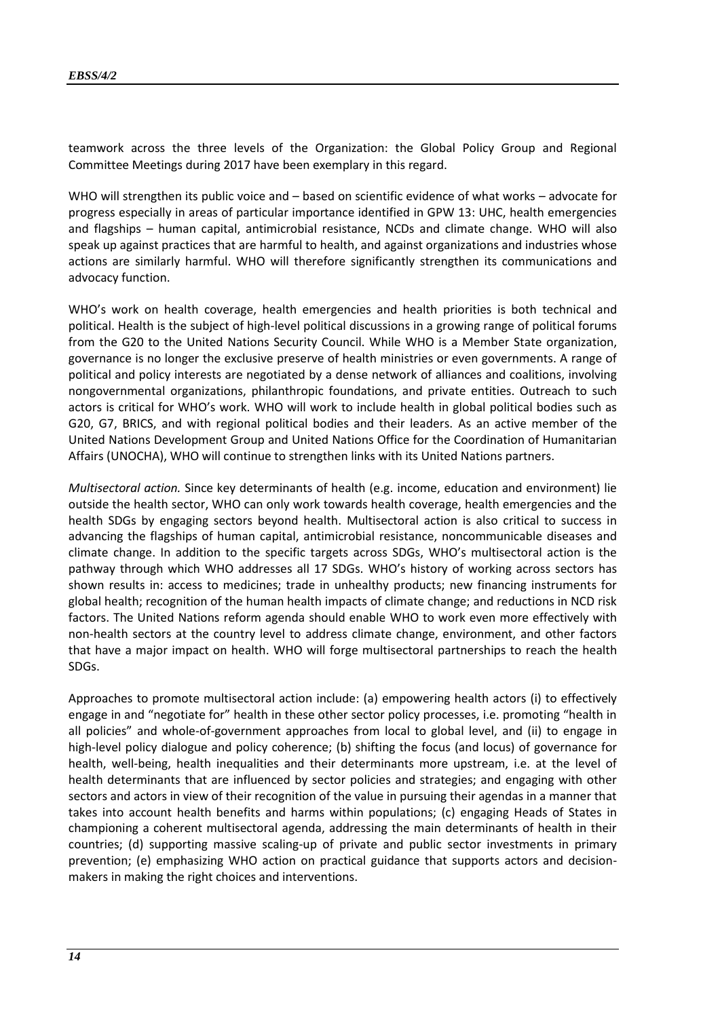teamwork across the three levels of the Organization: the Global Policy Group and Regional Committee Meetings during 2017 have been exemplary in this regard.

WHO will strengthen its public voice and – based on scientific evidence of what works – advocate for progress especially in areas of particular importance identified in GPW 13: UHC, health emergencies and flagships – human capital, antimicrobial resistance, NCDs and climate change. WHO will also speak up against practices that are harmful to health, and against organizations and industries whose actions are similarly harmful. WHO will therefore significantly strengthen its communications and advocacy function.

WHO's work on health coverage, health emergencies and health priorities is both technical and political. Health is the subject of high-level political discussions in a growing range of political forums from the G20 to the United Nations Security Council. While WHO is a Member State organization, governance is no longer the exclusive preserve of health ministries or even governments. A range of political and policy interests are negotiated by a dense network of alliances and coalitions, involving nongovernmental organizations, philanthropic foundations, and private entities. Outreach to such actors is critical for WHO's work. WHO will work to include health in global political bodies such as G20, G7, BRICS, and with regional political bodies and their leaders. As an active member of the United Nations Development Group and United Nations Office for the Coordination of Humanitarian Affairs (UNOCHA), WHO will continue to strengthen links with its United Nations partners.

*Multisectoral action.* Since key determinants of health (e.g. income, education and environment) lie outside the health sector, WHO can only work towards health coverage, health emergencies and the health SDGs by engaging sectors beyond health. Multisectoral action is also critical to success in advancing the flagships of human capital, antimicrobial resistance, noncommunicable diseases and climate change. In addition to the specific targets across SDGs, WHO's multisectoral action is the pathway through which WHO addresses all 17 SDGs. WHO's history of working across sectors has shown results in: access to medicines; trade in unhealthy products; new financing instruments for global health; recognition of the human health impacts of climate change; and reductions in NCD risk factors. The United Nations reform agenda should enable WHO to work even more effectively with non-health sectors at the country level to address climate change, environment, and other factors that have a major impact on health. WHO will forge multisectoral partnerships to reach the health SDGs.

Approaches to promote multisectoral action include: (a) empowering health actors (i) to effectively engage in and "negotiate for" health in these other sector policy processes, i.e. promoting "health in all policies" and whole-of-government approaches from local to global level, and (ii) to engage in high-level policy dialogue and policy coherence; (b) shifting the focus (and locus) of governance for health, well-being, health inequalities and their determinants more upstream, i.e. at the level of health determinants that are influenced by sector policies and strategies; and engaging with other sectors and actors in view of their recognition of the value in pursuing their agendas in a manner that takes into account health benefits and harms within populations; (c) engaging Heads of States in championing a coherent multisectoral agenda, addressing the main determinants of health in their countries; (d) supporting massive scaling-up of private and public sector investments in primary prevention; (e) emphasizing WHO action on practical guidance that supports actors and decisionmakers in making the right choices and interventions.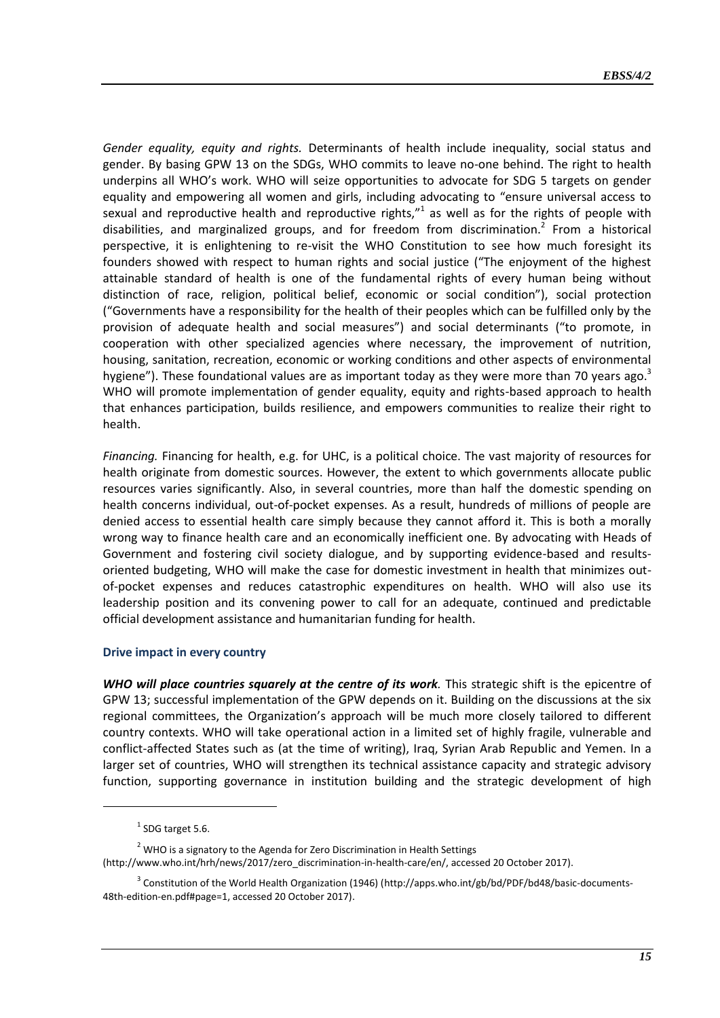*Gender equality, equity and rights.* Determinants of health include inequality, social status and gender. By basing GPW 13 on the SDGs, WHO commits to leave no-one behind. The right to health underpins all WHO's work. WHO will seize opportunities to advocate for SDG 5 targets on gender equality and empowering all women and girls, including advocating to "ensure universal access to sexual and reproductive health and reproductive rights, $"$ <sup>1</sup> as well as for the rights of people with disabilities, and marginalized groups, and for freedom from discrimination.<sup>2</sup> From a historical perspective, it is enlightening to re-visit the WHO Constitution to see how much foresight its founders showed with respect to human rights and social justice ("The enjoyment of the highest attainable standard of health is one of the fundamental rights of every human being without distinction of race, religion, political belief, economic or social condition"), social protection ("Governments have a responsibility for the health of their peoples which can be fulfilled only by the provision of adequate health and social measures") and social determinants ("to promote, in cooperation with other specialized agencies where necessary, the improvement of nutrition, housing, sanitation, recreation, economic or working conditions and other aspects of environmental hygiene"). These foundational values are as important today as they were more than 70 years ago. $3$ WHO will promote implementation of gender equality, equity and rights-based approach to health that enhances participation, builds resilience, and empowers communities to realize their right to health.

*Financing.* Financing for health, e.g. for UHC, is a political choice. The vast majority of resources for health originate from domestic sources. However, the extent to which governments allocate public resources varies significantly. Also, in several countries, more than half the domestic spending on health concerns individual, out-of-pocket expenses. As a result, hundreds of millions of people are denied access to essential health care simply because they cannot afford it. This is both a morally wrong way to finance health care and an economically inefficient one. By advocating with Heads of Government and fostering civil society dialogue, and by supporting evidence-based and resultsoriented budgeting, WHO will make the case for domestic investment in health that minimizes outof-pocket expenses and reduces catastrophic expenditures on health. WHO will also use its leadership position and its convening power to call for an adequate, continued and predictable official development assistance and humanitarian funding for health.

#### **Drive impact in every country**

*WHO will place countries squarely at the centre of its work.* This strategic shift is the epicentre of GPW 13; successful implementation of the GPW depends on it. Building on the discussions at the six regional committees, the Organization's approach will be much more closely tailored to different country contexts. WHO will take operational action in a limited set of highly fragile, vulnerable and conflict-affected States such as (at the time of writing), Iraq, Syrian Arab Republic and Yemen. In a larger set of countries, WHO will strengthen its technical assistance capacity and strategic advisory function, supporting governance in institution building and the strategic development of high

1

<sup>2</sup> WHO is a signatory to the Agenda for Zero Discrimination in Health Settings

[\(http://www.who.int/hrh/news/2017/zero\\_discrimination-in-health-care/en/,](http://www.who.int/hrh/news/2017/zero_discrimination-in-health-care/en/) accessed 20 October 2017).

 $<sup>1</sup>$  SDG target 5.6.</sup>

<sup>&</sup>lt;sup>3</sup> Constitution of the World Health Organization (1946) [\(http://apps.who.int/gb/bd/PDF/bd48/basic-documents-](http://apps.who.int/gb/bd/PDF/bd48/basic-documents-48th-edition-en.pdf#page=1)[48th-edition-en.pdf#page=1,](http://apps.who.int/gb/bd/PDF/bd48/basic-documents-48th-edition-en.pdf#page=1) accessed 20 October 2017).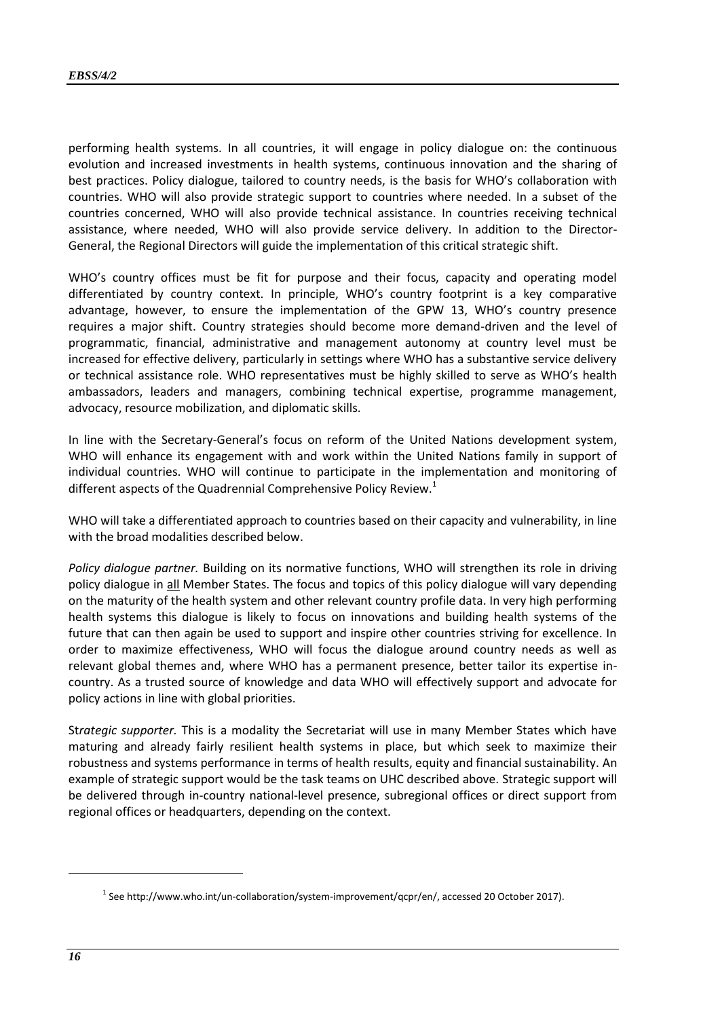performing health systems. In all countries, it will engage in policy dialogue on: the continuous evolution and increased investments in health systems, continuous innovation and the sharing of best practices. Policy dialogue, tailored to country needs, is the basis for WHO's collaboration with countries. WHO will also provide strategic support to countries where needed. In a subset of the countries concerned, WHO will also provide technical assistance. In countries receiving technical assistance, where needed, WHO will also provide service delivery. In addition to the Director-General, the Regional Directors will guide the implementation of this critical strategic shift.

WHO's country offices must be fit for purpose and their focus, capacity and operating model differentiated by country context. In principle, WHO's country footprint is a key comparative advantage, however, to ensure the implementation of the GPW 13, WHO's country presence requires a major shift. Country strategies should become more demand-driven and the level of programmatic, financial, administrative and management autonomy at country level must be increased for effective delivery, particularly in settings where WHO has a substantive service delivery or technical assistance role. WHO representatives must be highly skilled to serve as WHO's health ambassadors, leaders and managers, combining technical expertise, programme management, advocacy, resource mobilization, and diplomatic skills.

In line with the Secretary-General's focus on reform of the United Nations development system, WHO will enhance its engagement with and work within the United Nations family in support of individual countries. WHO will continue to participate in the implementation and monitoring of different aspects of the Quadrennial Comprehensive Policy Review.<sup>1</sup>

WHO will take a differentiated approach to countries based on their capacity and vulnerability, in line with the broad modalities described below.

*Policy dialogue partner.* Building on its normative functions, WHO will strengthen its role in driving policy dialogue in all Member States. The focus and topics of this policy dialogue will vary depending on the maturity of the health system and other relevant country profile data. In very high performing health systems this dialogue is likely to focus on innovations and building health systems of the future that can then again be used to support and inspire other countries striving for excellence. In order to maximize effectiveness, WHO will focus the dialogue around country needs as well as relevant global themes and, where WHO has a permanent presence, better tailor its expertise incountry. As a trusted source of knowledge and data WHO will effectively support and advocate for policy actions in line with global priorities.

St*rategic supporter.* This is a modality the Secretariat will use in many Member States which have maturing and already fairly resilient health systems in place, but which seek to maximize their robustness and systems performance in terms of health results, equity and financial sustainability. An example of strategic support would be the task teams on UHC described above. Strategic support will be delivered through in-country national-level presence, subregional offices or direct support from regional offices or headquarters, depending on the context.

 $^1$  Se[e http://www.who.int/un-collaboration/system-improvement/qcpr/en/,](http://www.who.int/un-collaboration/system-improvement/qcpr/en/) accessed 20 October 2017).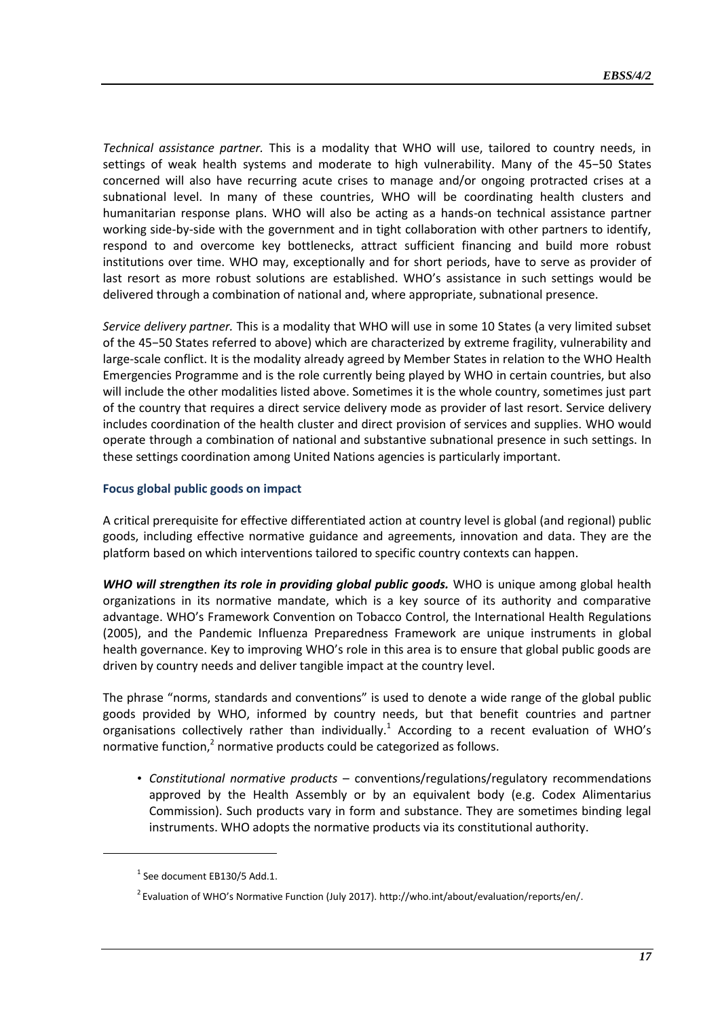*Technical assistance partner.* This is a modality that WHO will use, tailored to country needs, in settings of weak health systems and moderate to high vulnerability. Many of the 45−50 States concerned will also have recurring acute crises to manage and/or ongoing protracted crises at a subnational level. In many of these countries, WHO will be coordinating health clusters and humanitarian response plans. WHO will also be acting as a hands-on technical assistance partner working side-by-side with the government and in tight collaboration with other partners to identify, respond to and overcome key bottlenecks, attract sufficient financing and build more robust institutions over time. WHO may, exceptionally and for short periods, have to serve as provider of last resort as more robust solutions are established. WHO's assistance in such settings would be delivered through a combination of national and, where appropriate, subnational presence.

*Service delivery partner.* This is a modality that WHO will use in some 10 States (a very limited subset of the 45−50 States referred to above) which are characterized by extreme fragility, vulnerability and large-scale conflict. It is the modality already agreed by Member States in relation to the WHO Health Emergencies Programme and is the role currently being played by WHO in certain countries, but also will include the other modalities listed above. Sometimes it is the whole country, sometimes just part of the country that requires a direct service delivery mode as provider of last resort. Service delivery includes coordination of the health cluster and direct provision of services and supplies. WHO would operate through a combination of national and substantive subnational presence in such settings. In these settings coordination among United Nations agencies is particularly important.

# **Focus global public goods on impact**

A critical prerequisite for effective differentiated action at country level is global (and regional) public goods, including effective normative guidance and agreements, innovation and data. They are the platform based on which interventions tailored to specific country contexts can happen.

*WHO will strengthen its role in providing global public goods.* WHO is unique among global health organizations in its normative mandate, which is a key source of its authority and comparative advantage. WHO's Framework Convention on Tobacco Control, the International Health Regulations (2005), and the Pandemic Influenza Preparedness Framework are unique instruments in global health governance. Key to improving WHO's role in this area is to ensure that global public goods are driven by country needs and deliver tangible impact at the country level.

The phrase "norms, standards and conventions" is used to denote a wide range of the global public goods provided by WHO, informed by country needs, but that benefit countries and partner organisations collectively rather than individually.<sup>1</sup> According to a recent evaluation of WHO's normative function, $2$  normative products could be categorized as follows.

• *Constitutional normative products* – conventions/regulations/regulatory recommendations approved by the Health Assembly or by an equivalent body (e.g. Codex Alimentarius Commission). Such products vary in form and substance. They are sometimes binding legal instruments. WHO adopts the normative products via its constitutional authority.

 $<sup>1</sup>$  See document EB130/5 Add.1.</sup>

<sup>&</sup>lt;sup>2</sup> Evaluation of WHO's Normative Function (July 2017). [http://who.int/about/evaluation/reports/en/.](http://who.int/about/evaluation/reports/en/)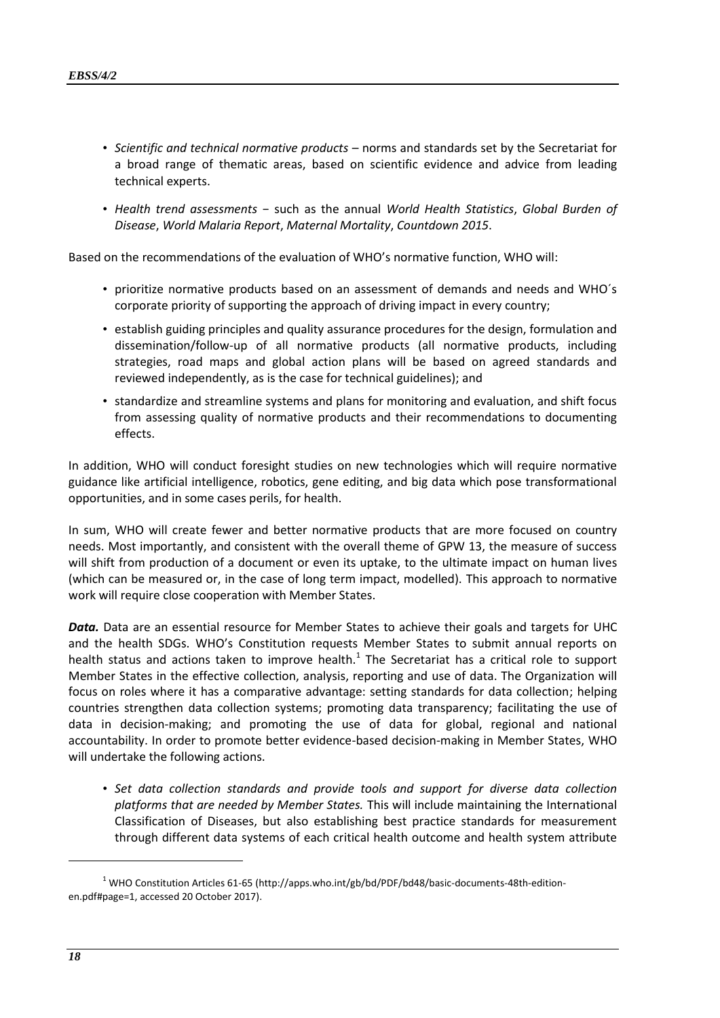- *Scientific and technical normative products* norms and standards set by the Secretariat for a broad range of thematic areas, based on scientific evidence and advice from leading technical experts.
- *Health trend assessments* − such as the annual *World Health Statistics*, *Global Burden of Disease*, *World Malaria Report*, *Maternal Mortality*, *Countdown 2015*.

Based on the recommendations of the evaluation of WHO's normative function, WHO will:

- prioritize normative products based on an assessment of demands and needs and WHO´s corporate priority of supporting the approach of driving impact in every country;
- establish guiding principles and quality assurance procedures for the design, formulation and dissemination/follow-up of all normative products (all normative products, including strategies, road maps and global action plans will be based on agreed standards and reviewed independently, as is the case for technical guidelines); and
- standardize and streamline systems and plans for monitoring and evaluation, and shift focus from assessing quality of normative products and their recommendations to documenting effects.

In addition, WHO will conduct foresight studies on new technologies which will require normative guidance like artificial intelligence, robotics, gene editing, and big data which pose transformational opportunities, and in some cases perils, for health.

In sum, WHO will create fewer and better normative products that are more focused on country needs. Most importantly, and consistent with the overall theme of GPW 13, the measure of success will shift from production of a document or even its uptake, to the ultimate impact on human lives (which can be measured or, in the case of long term impact, modelled). This approach to normative work will require close cooperation with Member States.

*Data.* Data are an essential resource for Member States to achieve their goals and targets for UHC and the health SDGs. WHO's Constitution requests Member States to submit annual reports on health status and actions taken to improve health. $<sup>1</sup>$  The Secretariat has a critical role to support</sup> Member States in the effective collection, analysis, reporting and use of data. The Organization will focus on roles where it has a comparative advantage: setting standards for data collection; helping countries strengthen data collection systems; promoting data transparency; facilitating the use of data in decision-making; and promoting the use of data for global, regional and national accountability. In order to promote better evidence-based decision-making in Member States, WHO will undertake the following actions.

• *Set data collection standards and provide tools and support for diverse data collection platforms that are needed by Member States.* This will include maintaining the International Classification of Diseases, but also establishing best practice standards for measurement through different data systems of each critical health outcome and health system attribute

 $1$  WHO Constitution Articles 61-65 [\(http://apps.who.int/gb/bd/PDF/bd48/basic-documents-48th-edition](http://apps.who.int/gb/bd/PDF/bd48/basic-documents-48th-edition-en.pdf%23page=1)[en.pdf#page=1,](http://apps.who.int/gb/bd/PDF/bd48/basic-documents-48th-edition-en.pdf%23page=1) accessed 20 October 2017).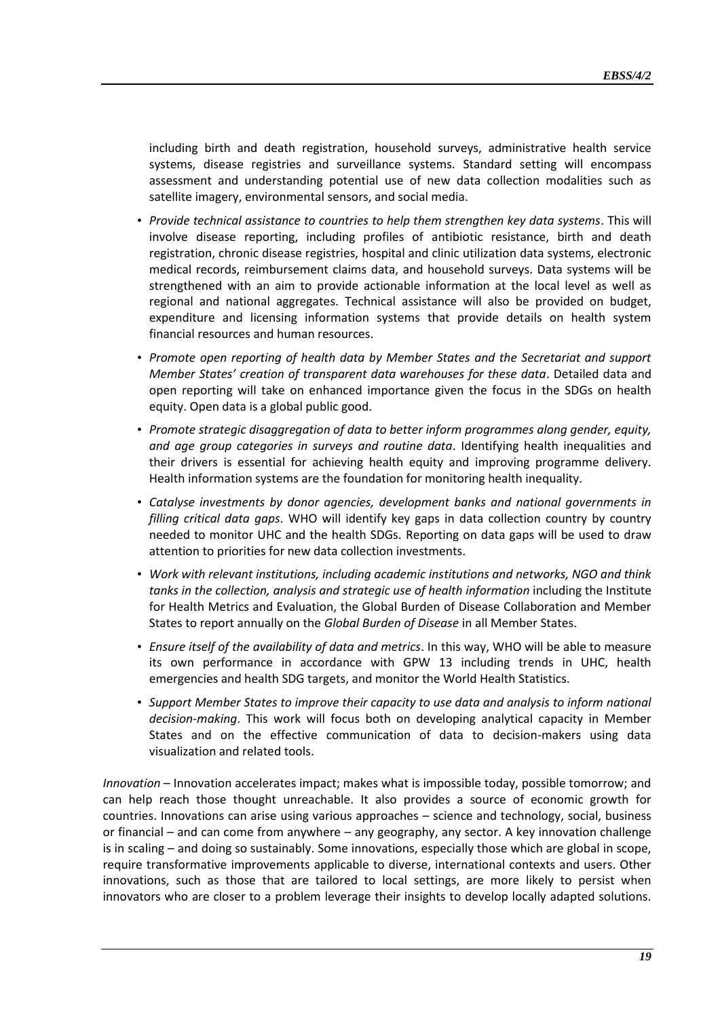including birth and death registration, household surveys, administrative health service systems, disease registries and surveillance systems. Standard setting will encompass assessment and understanding potential use of new data collection modalities such as satellite imagery, environmental sensors, and social media.

- *Provide technical assistance to countries to help them strengthen key data systems*. This will involve disease reporting, including profiles of antibiotic resistance, birth and death registration, chronic disease registries, hospital and clinic utilization data systems, electronic medical records, reimbursement claims data, and household surveys. Data systems will be strengthened with an aim to provide actionable information at the local level as well as regional and national aggregates. Technical assistance will also be provided on budget, expenditure and licensing information systems that provide details on health system financial resources and human resources.
- *Promote open reporting of health data by Member States and the Secretariat and support Member States' creation of transparent data warehouses for these data*. Detailed data and open reporting will take on enhanced importance given the focus in the SDGs on health equity. Open data is a global public good.
- *Promote strategic disaggregation of data to better inform programmes along gender, equity, and age group categories in surveys and routine data*. Identifying health inequalities and their drivers is essential for achieving health equity and improving programme delivery. Health information systems are the foundation for monitoring health inequality.
- *Catalyse investments by donor agencies, development banks and national governments in filling critical data gaps*. WHO will identify key gaps in data collection country by country needed to monitor UHC and the health SDGs. Reporting on data gaps will be used to draw attention to priorities for new data collection investments.
- *Work with relevant institutions, including academic institutions and networks, NGO and think*  tanks in the collection, analysis and strategic use of health information including the Institute for Health Metrics and Evaluation, the Global Burden of Disease Collaboration and Member States to report annually on the *Global Burden of Disease* in all Member States.
- *Ensure itself of the availability of data and metrics*. In this way, WHO will be able to measure its own performance in accordance with GPW 13 including trends in UHC, health emergencies and health SDG targets, and monitor the World Health Statistics.
- *Support Member States to improve their capacity to use data and analysis to inform national decision-making*. This work will focus both on developing analytical capacity in Member States and on the effective communication of data to decision-makers using data visualization and related tools.

*Innovation* – Innovation accelerates impact; makes what is impossible today, possible tomorrow; and can help reach those thought unreachable. It also provides a source of economic growth for countries. Innovations can arise using various approaches – science and technology, social, business or financial – and can come from anywhere – any geography, any sector. A key innovation challenge is in scaling – and doing so sustainably. Some innovations, especially those which are global in scope, require transformative improvements applicable to diverse, international contexts and users. Other innovations, such as those that are tailored to local settings, are more likely to persist when innovators who are closer to a problem leverage their insights to develop locally adapted solutions.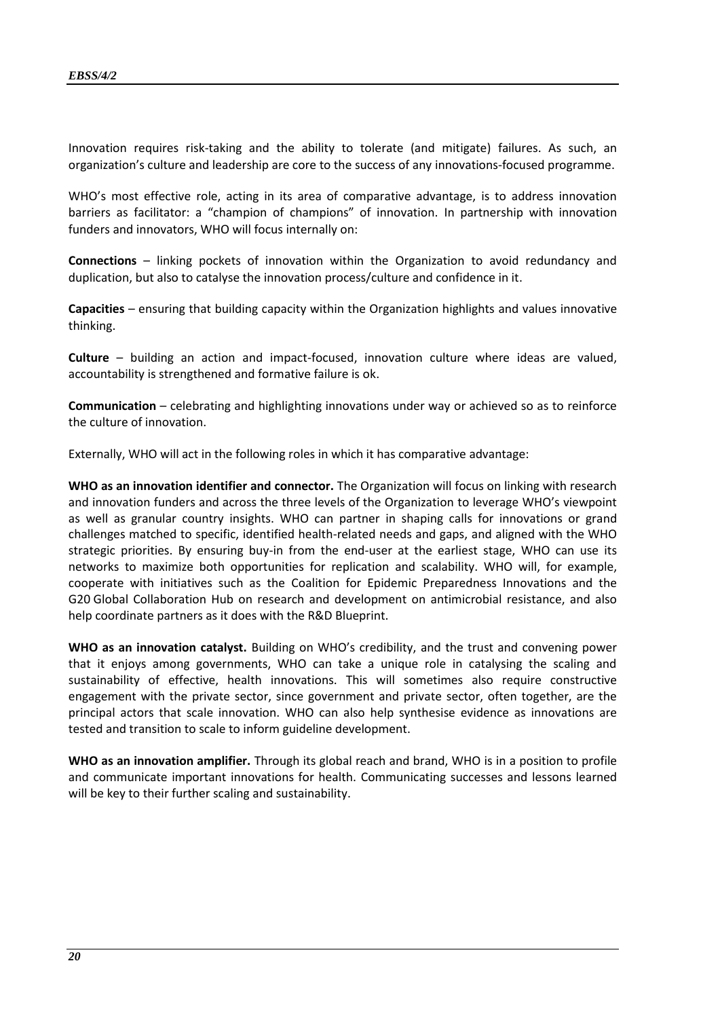Innovation requires risk-taking and the ability to tolerate (and mitigate) failures. As such, an organization's culture and leadership are core to the success of any innovations-focused programme.

WHO's most effective role, acting in its area of comparative advantage, is to address innovation barriers as facilitator: a "champion of champions" of innovation. In partnership with innovation funders and innovators, WHO will focus internally on:

**Connections** – linking pockets of innovation within the Organization to avoid redundancy and duplication, but also to catalyse the innovation process/culture and confidence in it.

**Capacities** – ensuring that building capacity within the Organization highlights and values innovative thinking.

**Culture** – building an action and impact-focused, innovation culture where ideas are valued, accountability is strengthened and formative failure is ok.

**Communication** – celebrating and highlighting innovations under way or achieved so as to reinforce the culture of innovation.

Externally, WHO will act in the following roles in which it has comparative advantage:

**WHO as an innovation identifier and connector.** The Organization will focus on linking with research and innovation funders and across the three levels of the Organization to leverage WHO's viewpoint as well as granular country insights. WHO can partner in shaping calls for innovations or grand challenges matched to specific, identified health-related needs and gaps, and aligned with the WHO strategic priorities. By ensuring buy-in from the end-user at the earliest stage, WHO can use its networks to maximize both opportunities for replication and scalability. WHO will, for example, cooperate with initiatives such as the Coalition for Epidemic Preparedness Innovations and the G20 Global Collaboration Hub on research and development on antimicrobial resistance, and also help coordinate partners as it does with the R&D Blueprint.

**WHO as an innovation catalyst.** Building on WHO's credibility, and the trust and convening power that it enjoys among governments, WHO can take a unique role in catalysing the scaling and sustainability of effective, health innovations. This will sometimes also require constructive engagement with the private sector, since government and private sector, often together, are the principal actors that scale innovation. WHO can also help synthesise evidence as innovations are tested and transition to scale to inform guideline development.

**WHO as an innovation amplifier.** Through its global reach and brand, WHO is in a position to profile and communicate important innovations for health. Communicating successes and lessons learned will be key to their further scaling and sustainability.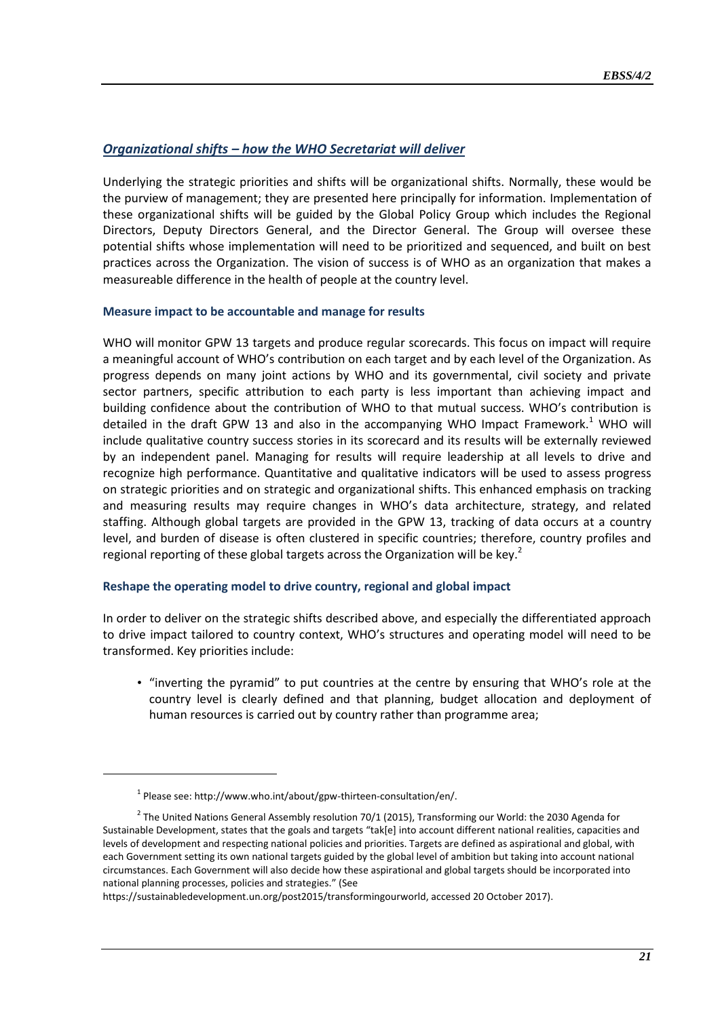# *Organizational shifts – how the WHO Secretariat will deliver*

Underlying the strategic priorities and shifts will be organizational shifts. Normally, these would be the purview of management; they are presented here principally for information. Implementation of these organizational shifts will be guided by the Global Policy Group which includes the Regional Directors, Deputy Directors General, and the Director General. The Group will oversee these potential shifts whose implementation will need to be prioritized and sequenced, and built on best practices across the Organization. The vision of success is of WHO as an organization that makes a measureable difference in the health of people at the country level.

#### **Measure impact to be accountable and manage for results**

WHO will monitor GPW 13 targets and produce regular scorecards. This focus on impact will require a meaningful account of WHO's contribution on each target and by each level of the Organization. As progress depends on many joint actions by WHO and its governmental, civil society and private sector partners, specific attribution to each party is less important than achieving impact and building confidence about the contribution of WHO to that mutual success. WHO's contribution is detailed in the draft GPW 13 and also in the accompanying WHO Impact Framework.<sup>1</sup> WHO will include qualitative country success stories in its scorecard and its results will be externally reviewed by an independent panel. Managing for results will require leadership at all levels to drive and recognize high performance. Quantitative and qualitative indicators will be used to assess progress on strategic priorities and on strategic and organizational shifts. This enhanced emphasis on tracking and measuring results may require changes in WHO's data architecture, strategy, and related staffing. Although global targets are provided in the GPW 13, tracking of data occurs at a country level, and burden of disease is often clustered in specific countries; therefore, country profiles and regional reporting of these global targets across the Organization will be key.<sup>2</sup>

#### **Reshape the operating model to drive country, regional and global impact**

In order to deliver on the strategic shifts described above, and especially the differentiated approach to drive impact tailored to country context, WHO's structures and operating model will need to be transformed. Key priorities include:

• "inverting the pyramid" to put countries at the centre by ensuring that WHO's role at the country level is clearly defined and that planning, budget allocation and deployment of human resources is carried out by country rather than programme area;

 $^{1}$  Please see: [http://www.who.int/about/gpw-thirteen-consultation/en/.](http://www.who.int/about/gpw-thirteen-consultation/en/)

 $^{2}$  The United Nations General Assembly resolution 70/1 (2015), Transforming our World: the 2030 Agenda for Sustainable Development, states that the goals and targets "tak[e] into account different national realities, capacities and levels of development and respecting national policies and priorities. Targets are defined as aspirational and global, with each Government setting its own national targets guided by the global level of ambition but taking into account national circumstances. Each Government will also decide how these aspirational and global targets should be incorporated into national planning processes, policies and strategies." (See

[https://sustainabledevelopment.un.org/post2015/transformingourworld,](https://sustainabledevelopment.un.org/post2015/transformingourworld) accessed 20 October 2017).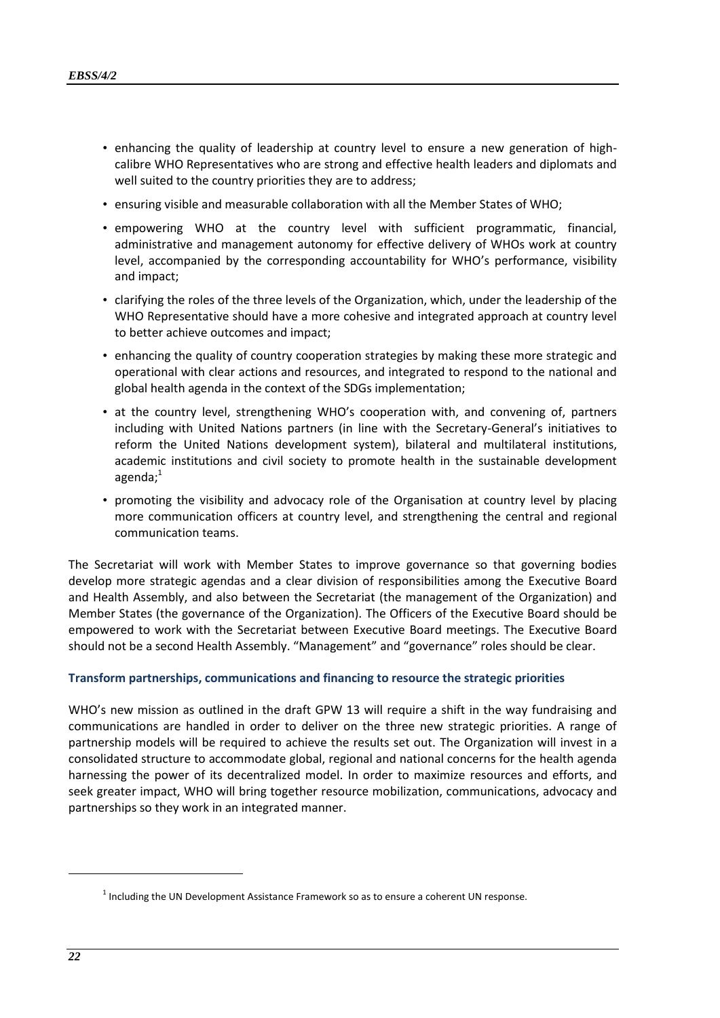- enhancing the quality of leadership at country level to ensure a new generation of highcalibre WHO Representatives who are strong and effective health leaders and diplomats and well suited to the country priorities they are to address;
- ensuring visible and measurable collaboration with all the Member States of WHO;
- empowering WHO at the country level with sufficient programmatic, financial, administrative and management autonomy for effective delivery of WHOs work at country level, accompanied by the corresponding accountability for WHO's performance, visibility and impact;
- clarifying the roles of the three levels of the Organization, which, under the leadership of the WHO Representative should have a more cohesive and integrated approach at country level to better achieve outcomes and impact;
- enhancing the quality of country cooperation strategies by making these more strategic and operational with clear actions and resources, and integrated to respond to the national and global health agenda in the context of the SDGs implementation;
- at the country level, strengthening WHO's cooperation with, and convening of, partners including with United Nations partners (in line with the Secretary-General's initiatives to reform the United Nations development system), bilateral and multilateral institutions, academic institutions and civil society to promote health in the sustainable development agenda; $<sup>1</sup>$ </sup>
- promoting the visibility and advocacy role of the Organisation at country level by placing more communication officers at country level, and strengthening the central and regional communication teams.

The Secretariat will work with Member States to improve governance so that governing bodies develop more strategic agendas and a clear division of responsibilities among the Executive Board and Health Assembly, and also between the Secretariat (the management of the Organization) and Member States (the governance of the Organization). The Officers of the Executive Board should be empowered to work with the Secretariat between Executive Board meetings. The Executive Board should not be a second Health Assembly. "Management" and "governance" roles should be clear.

#### **Transform partnerships, communications and financing to resource the strategic priorities**

WHO's new mission as outlined in the draft GPW 13 will require a shift in the way fundraising and communications are handled in order to deliver on the three new strategic priorities. A range of partnership models will be required to achieve the results set out. The Organization will invest in a consolidated structure to accommodate global, regional and national concerns for the health agenda harnessing the power of its decentralized model. In order to maximize resources and efforts, and seek greater impact, WHO will bring together resource mobilization, communications, advocacy and partnerships so they work in an integrated manner.

 $<sup>1</sup>$  Including the UN Development Assistance Framework so as to ensure a coherent UN response.</sup>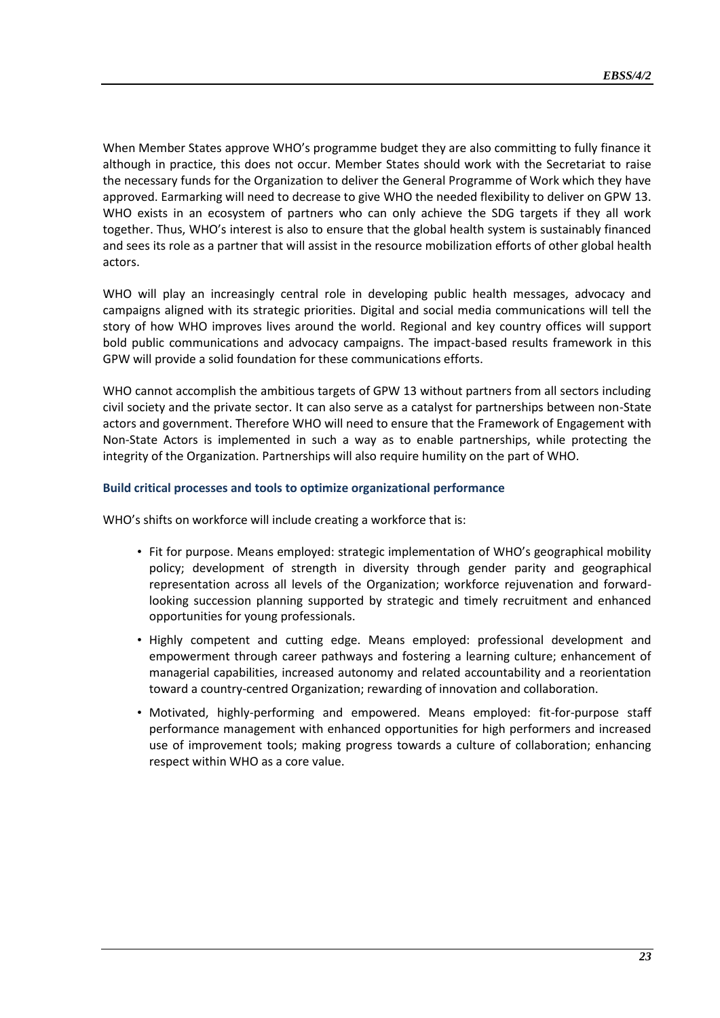When Member States approve WHO's programme budget they are also committing to fully finance it although in practice, this does not occur. Member States should work with the Secretariat to raise the necessary funds for the Organization to deliver the General Programme of Work which they have approved. Earmarking will need to decrease to give WHO the needed flexibility to deliver on GPW 13. WHO exists in an ecosystem of partners who can only achieve the SDG targets if they all work together. Thus, WHO's interest is also to ensure that the global health system is sustainably financed and sees its role as a partner that will assist in the resource mobilization efforts of other global health actors.

WHO will play an increasingly central role in developing public health messages, advocacy and campaigns aligned with its strategic priorities. Digital and social media communications will tell the story of how WHO improves lives around the world. Regional and key country offices will support bold public communications and advocacy campaigns. The impact-based results framework in this GPW will provide a solid foundation for these communications efforts.

WHO cannot accomplish the ambitious targets of GPW 13 without partners from all sectors including civil society and the private sector. It can also serve as a catalyst for partnerships between non-State actors and government. Therefore WHO will need to ensure that the Framework of Engagement with Non-State Actors is implemented in such a way as to enable partnerships, while protecting the integrity of the Organization. Partnerships will also require humility on the part of WHO.

#### **Build critical processes and tools to optimize organizational performance**

WHO's shifts on workforce will include creating a workforce that is:

- Fit for purpose. Means employed: strategic implementation of WHO's geographical mobility policy; development of strength in diversity through gender parity and geographical representation across all levels of the Organization; workforce rejuvenation and forwardlooking succession planning supported by strategic and timely recruitment and enhanced opportunities for young professionals.
- Highly competent and cutting edge. Means employed: professional development and empowerment through career pathways and fostering a learning culture; enhancement of managerial capabilities, increased autonomy and related accountability and a reorientation toward a country-centred Organization; rewarding of innovation and collaboration.
- Motivated, highly-performing and empowered. Means employed: fit-for-purpose staff performance management with enhanced opportunities for high performers and increased use of improvement tools; making progress towards a culture of collaboration; enhancing respect within WHO as a core value.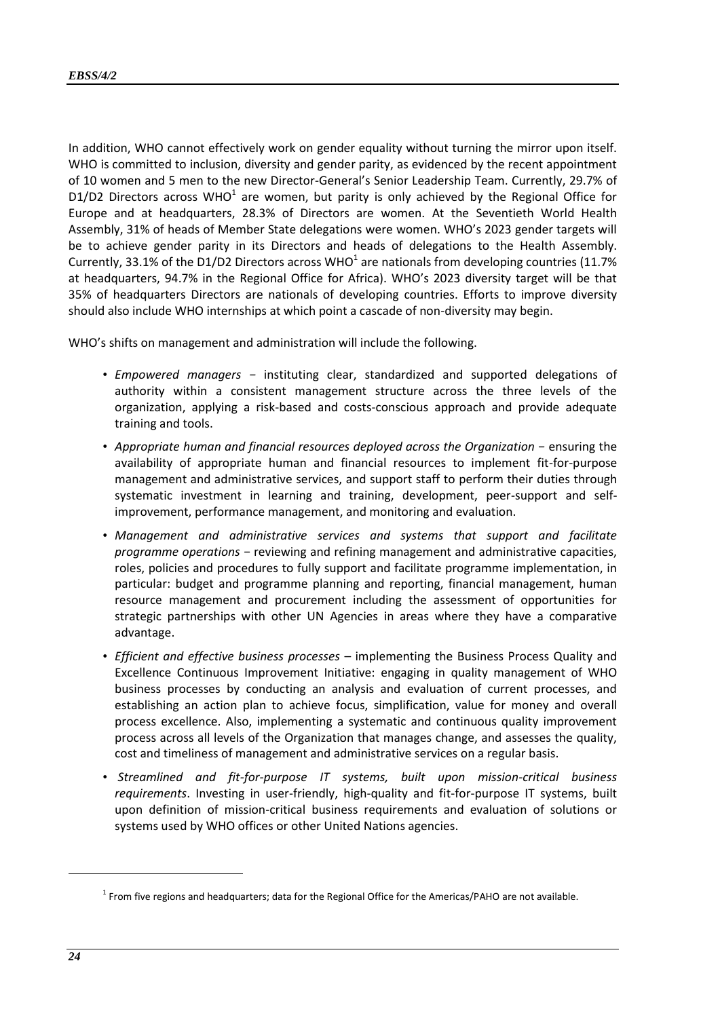In addition, WHO cannot effectively work on gender equality without turning the mirror upon itself. WHO is committed to inclusion, diversity and gender parity, as evidenced by the recent appointment of 10 women and 5 men to the new Director-General's Senior Leadership Team. Currently, 29.7% of D1/D2 Directors across WHO<sup>1</sup> are women, but parity is only achieved by the Regional Office for Europe and at headquarters, 28.3% of Directors are women. At the Seventieth World Health Assembly, 31% of heads of Member State delegations were women. WHO's 2023 gender targets will be to achieve gender parity in its Directors and heads of delegations to the Health Assembly. Currently, 33.1% of the D1/D2 Directors across WHO<sup>1</sup> are nationals from developing countries (11.7% at headquarters, 94.7% in the Regional Office for Africa). WHO's 2023 diversity target will be that 35% of headquarters Directors are nationals of developing countries. Efforts to improve diversity should also include WHO internships at which point a cascade of non-diversity may begin.

WHO's shifts on management and administration will include the following.

- *Empowered managers −* instituting clear, standardized and supported delegations of authority within a consistent management structure across the three levels of the organization, applying a risk-based and costs-conscious approach and provide adequate training and tools.
- *Appropriate human and financial resources deployed across the Organization −* ensuring the availability of appropriate human and financial resources to implement fit-for-purpose management and administrative services, and support staff to perform their duties through systematic investment in learning and training, development, peer-support and selfimprovement, performance management, and monitoring and evaluation.
- *Management and administrative services and systems that support and facilitate programme operations* − reviewing and refining management and administrative capacities, roles, policies and procedures to fully support and facilitate programme implementation, in particular: budget and programme planning and reporting, financial management, human resource management and procurement including the assessment of opportunities for strategic partnerships with other UN Agencies in areas where they have a comparative advantage.
- *Efficient and effective business processes*  implementing the Business Process Quality and Excellence Continuous Improvement Initiative: engaging in quality management of WHO business processes by conducting an analysis and evaluation of current processes, and establishing an action plan to achieve focus, simplification, value for money and overall process excellence. Also, implementing a systematic and continuous quality improvement process across all levels of the Organization that manages change, and assesses the quality, cost and timeliness of management and administrative services on a regular basis.
- *Streamlined and fit-for-purpose IT systems, built upon mission-critical business requirements*. Investing in user-friendly, high-quality and fit-for-purpose IT systems, built upon definition of mission-critical business requirements and evaluation of solutions or systems used by WHO offices or other United Nations agencies.

 $^1$  From five regions and headquarters; data for the Regional Office for the Americas/PAHO are not available.